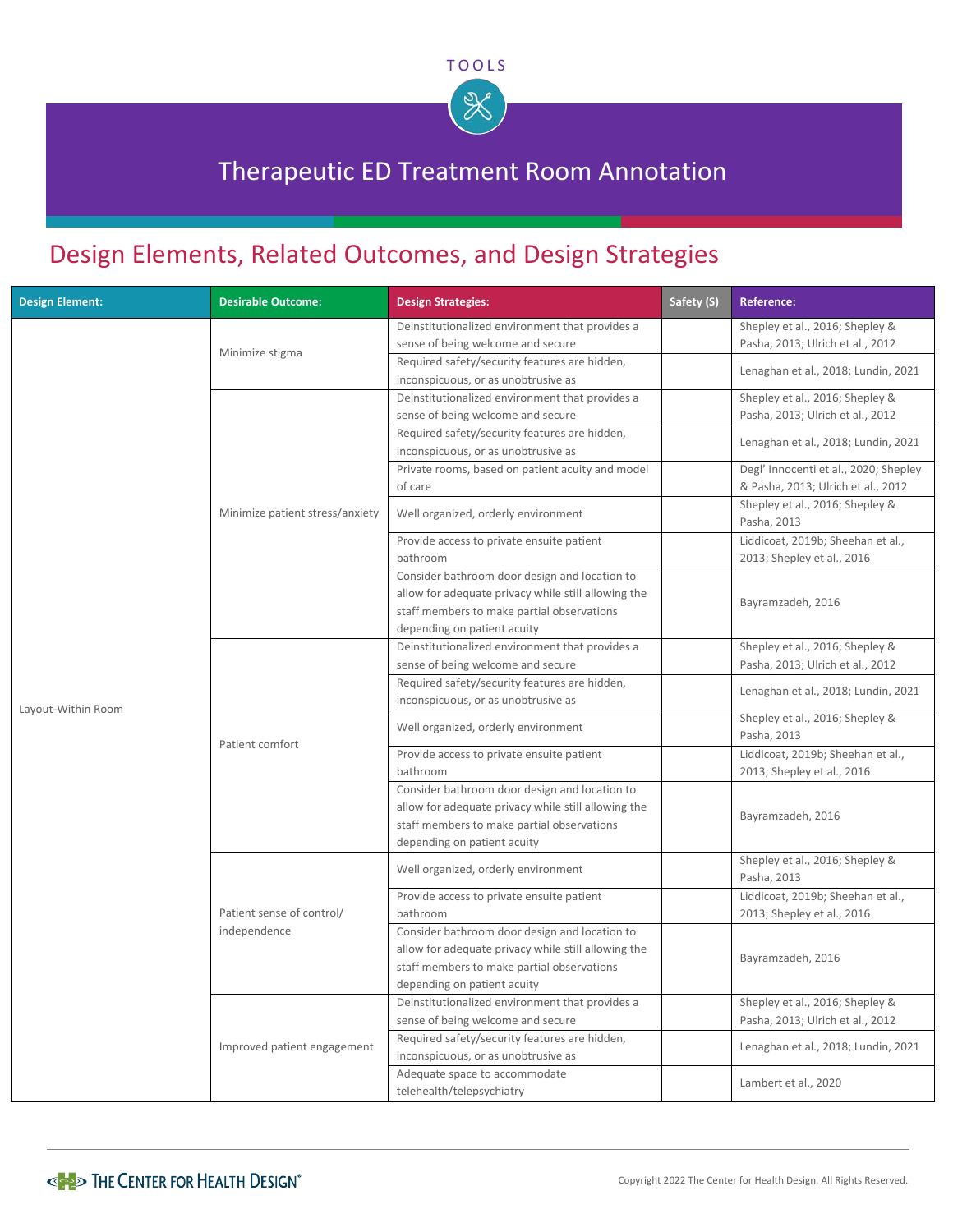

## Therapeutic ED Treatment Room Annotation

## Design Elements, Related Outcomes, and Design Strategies

| <b>Design Element:</b> | <b>Desirable Outcome:</b>       | <b>Design Strategies:</b>                                                                                                                                                         | Safety (S) | <b>Reference:</b>                                                           |
|------------------------|---------------------------------|-----------------------------------------------------------------------------------------------------------------------------------------------------------------------------------|------------|-----------------------------------------------------------------------------|
|                        | Minimize stigma                 | Deinstitutionalized environment that provides a<br>sense of being welcome and secure                                                                                              |            | Shepley et al., 2016; Shepley &<br>Pasha, 2013; Ulrich et al., 2012         |
|                        |                                 | Required safety/security features are hidden,<br>inconspicuous, or as unobtrusive as                                                                                              |            | Lenaghan et al., 2018; Lundin, 2021                                         |
|                        |                                 | Deinstitutionalized environment that provides a<br>sense of being welcome and secure                                                                                              |            | Shepley et al., 2016; Shepley &<br>Pasha, 2013; Ulrich et al., 2012         |
|                        |                                 | Required safety/security features are hidden,<br>inconspicuous, or as unobtrusive as                                                                                              |            | Lenaghan et al., 2018; Lundin, 2021                                         |
|                        |                                 | Private rooms, based on patient acuity and model<br>of care                                                                                                                       |            | Degl' Innocenti et al., 2020; Shepley<br>& Pasha, 2013; Ulrich et al., 2012 |
|                        | Minimize patient stress/anxiety | Well organized, orderly environment                                                                                                                                               |            | Shepley et al., 2016; Shepley &<br>Pasha, 2013                              |
|                        |                                 | Provide access to private ensuite patient<br>bathroom                                                                                                                             |            | Liddicoat, 2019b; Sheehan et al.,<br>2013; Shepley et al., 2016             |
|                        |                                 | Consider bathroom door design and location to<br>allow for adequate privacy while still allowing the<br>staff members to make partial observations<br>depending on patient acuity |            | Bayramzadeh, 2016                                                           |
|                        | Patient comfort                 | Deinstitutionalized environment that provides a                                                                                                                                   |            | Shepley et al., 2016; Shepley &                                             |
|                        |                                 | sense of being welcome and secure<br>Required safety/security features are hidden,<br>inconspicuous, or as unobtrusive as                                                         |            | Pasha, 2013; Ulrich et al., 2012<br>Lenaghan et al., 2018; Lundin, 2021     |
| Layout-Within Room     |                                 | Well organized, orderly environment                                                                                                                                               |            | Shepley et al., 2016; Shepley &<br>Pasha, 2013                              |
|                        |                                 | Provide access to private ensuite patient<br>bathroom                                                                                                                             |            | Liddicoat, 2019b; Sheehan et al.,<br>2013; Shepley et al., 2016             |
|                        |                                 | Consider bathroom door design and location to<br>allow for adequate privacy while still allowing the<br>staff members to make partial observations<br>depending on patient acuity |            | Bayramzadeh, 2016                                                           |
|                        |                                 | Well organized, orderly environment                                                                                                                                               |            | Shepley et al., 2016; Shepley &<br>Pasha, 2013                              |
|                        | Patient sense of control/       | Provide access to private ensuite patient<br>bathroom                                                                                                                             |            | Liddicoat, 2019b; Sheehan et al.,<br>2013; Shepley et al., 2016             |
|                        | independence                    | Consider bathroom door design and location to<br>allow for adequate privacy while still allowing the<br>staff members to make partial observations<br>depending on patient acuity |            | Bayramzadeh, 2016                                                           |
|                        |                                 | Deinstitutionalized environment that provides a<br>sense of being welcome and secure                                                                                              |            | Shepley et al., 2016; Shepley &<br>Pasha, 2013; Ulrich et al., 2012         |
|                        | Improved patient engagement     | Required safety/security features are hidden,<br>inconspicuous, or as unobtrusive as                                                                                              |            | Lenaghan et al., 2018; Lundin, 2021                                         |
|                        |                                 | Adequate space to accommodate<br>telehealth/telepsychiatry                                                                                                                        |            | Lambert et al., 2020                                                        |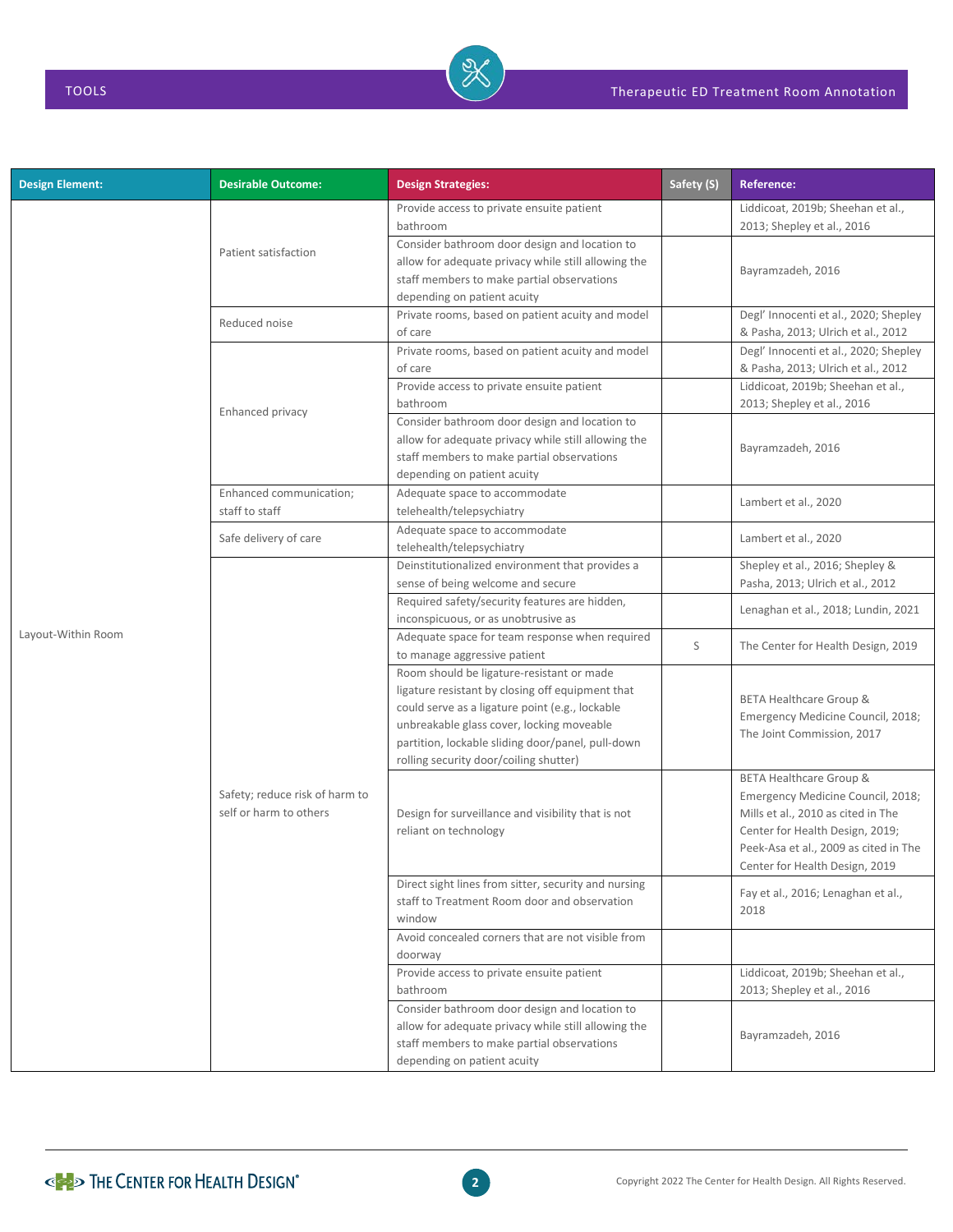| <b>Design Element:</b> | <b>Desirable Outcome:</b>                                | <b>Design Strategies:</b>                                                                                                                                                                                                                                                                    | Safety (S) | <b>Reference:</b>                                                                                                                                                                                                |
|------------------------|----------------------------------------------------------|----------------------------------------------------------------------------------------------------------------------------------------------------------------------------------------------------------------------------------------------------------------------------------------------|------------|------------------------------------------------------------------------------------------------------------------------------------------------------------------------------------------------------------------|
|                        |                                                          | Provide access to private ensuite patient<br>bathroom                                                                                                                                                                                                                                        |            | Liddicoat, 2019b; Sheehan et al.,<br>2013; Shepley et al., 2016                                                                                                                                                  |
|                        | Patient satisfaction                                     | Consider bathroom door design and location to<br>allow for adequate privacy while still allowing the<br>staff members to make partial observations<br>depending on patient acuity                                                                                                            |            | Bayramzadeh, 2016                                                                                                                                                                                                |
|                        | Reduced noise                                            | Private rooms, based on patient acuity and model<br>of care                                                                                                                                                                                                                                  |            | Degl' Innocenti et al., 2020; Shepley<br>& Pasha, 2013; Ulrich et al., 2012                                                                                                                                      |
|                        |                                                          | Private rooms, based on patient acuity and model<br>of care<br>Provide access to private ensuite patient                                                                                                                                                                                     |            | Degl' Innocenti et al., 2020; Shepley<br>& Pasha, 2013; Ulrich et al., 2012<br>Liddicoat, 2019b; Sheehan et al.,                                                                                                 |
|                        | Enhanced privacy                                         | bathroom                                                                                                                                                                                                                                                                                     |            | 2013; Shepley et al., 2016                                                                                                                                                                                       |
|                        | Enhanced communication;                                  | Consider bathroom door design and location to<br>allow for adequate privacy while still allowing the<br>staff members to make partial observations<br>depending on patient acuity                                                                                                            |            | Bayramzadeh, 2016                                                                                                                                                                                                |
|                        | staff to staff                                           | Adequate space to accommodate<br>telehealth/telepsychiatry                                                                                                                                                                                                                                   |            | Lambert et al., 2020                                                                                                                                                                                             |
|                        | Safe delivery of care                                    | Adequate space to accommodate<br>telehealth/telepsychiatry                                                                                                                                                                                                                                   |            | Lambert et al., 2020                                                                                                                                                                                             |
|                        | Safety; reduce risk of harm to<br>self or harm to others | Deinstitutionalized environment that provides a<br>sense of being welcome and secure                                                                                                                                                                                                         |            | Shepley et al., 2016; Shepley &<br>Pasha, 2013; Ulrich et al., 2012                                                                                                                                              |
|                        |                                                          | Required safety/security features are hidden,<br>inconspicuous, or as unobtrusive as                                                                                                                                                                                                         |            | Lenaghan et al., 2018; Lundin, 2021                                                                                                                                                                              |
| Layout-Within Room     |                                                          | Adequate space for team response when required<br>to manage aggressive patient                                                                                                                                                                                                               | S          | The Center for Health Design, 2019                                                                                                                                                                               |
|                        |                                                          | Room should be ligature-resistant or made<br>ligature resistant by closing off equipment that<br>could serve as a ligature point (e.g., lockable<br>unbreakable glass cover, locking moveable<br>partition, lockable sliding door/panel, pull-down<br>rolling security door/coiling shutter) |            | BETA Healthcare Group &<br>Emergency Medicine Council, 2018;<br>The Joint Commission, 2017                                                                                                                       |
|                        |                                                          | Design for surveillance and visibility that is not<br>reliant on technology                                                                                                                                                                                                                  |            | BETA Healthcare Group &<br>Emergency Medicine Council, 2018;<br>Mills et al., 2010 as cited in The<br>Center for Health Design, 2019;<br>Peek-Asa et al., 2009 as cited in The<br>Center for Health Design, 2019 |
|                        |                                                          | Direct sight lines from sitter, security and nursing<br>staff to Treatment Room door and observation<br>window                                                                                                                                                                               |            | Fay et al., 2016; Lenaghan et al.,<br>2018                                                                                                                                                                       |
|                        |                                                          | Avoid concealed corners that are not visible from<br>doorway                                                                                                                                                                                                                                 |            |                                                                                                                                                                                                                  |
|                        |                                                          | Provide access to private ensuite patient<br>bathroom                                                                                                                                                                                                                                        |            | Liddicoat, 2019b; Sheehan et al.,<br>2013; Shepley et al., 2016                                                                                                                                                  |
|                        |                                                          | Consider bathroom door design and location to<br>allow for adequate privacy while still allowing the<br>staff members to make partial observations<br>depending on patient acuity                                                                                                            |            | Bayramzadeh, 2016                                                                                                                                                                                                |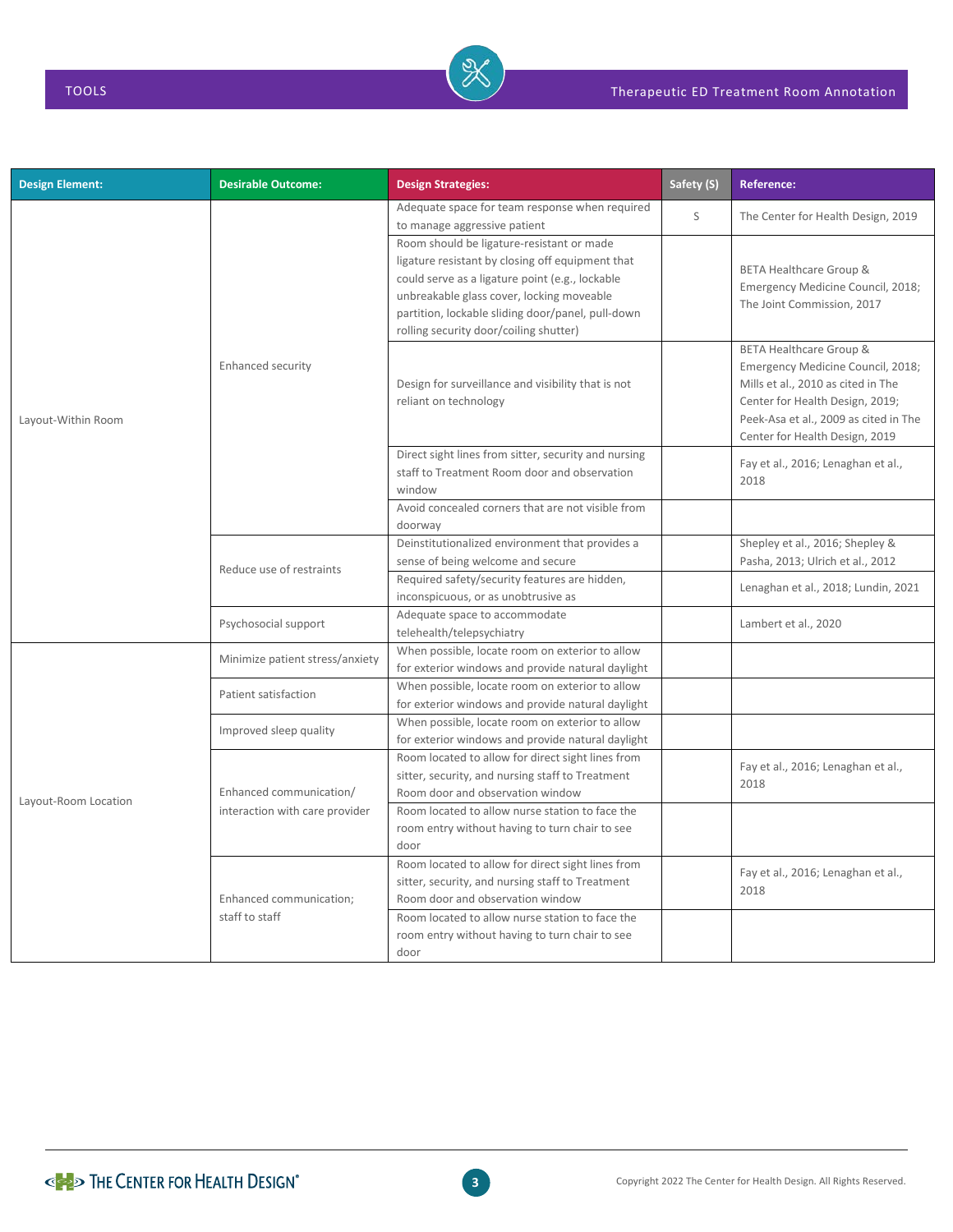| <b>Design Element:</b> | <b>Desirable Outcome:</b>       | <b>Design Strategies:</b>                                                                                                                                                                                                                                                                    | Safety (S) | <b>Reference:</b>                                                                                                                                                                                                |
|------------------------|---------------------------------|----------------------------------------------------------------------------------------------------------------------------------------------------------------------------------------------------------------------------------------------------------------------------------------------|------------|------------------------------------------------------------------------------------------------------------------------------------------------------------------------------------------------------------------|
|                        |                                 | Adequate space for team response when required<br>to manage aggressive patient                                                                                                                                                                                                               | S          | The Center for Health Design, 2019                                                                                                                                                                               |
|                        |                                 | Room should be ligature-resistant or made<br>ligature resistant by closing off equipment that<br>could serve as a ligature point (e.g., lockable<br>unbreakable glass cover, locking moveable<br>partition, lockable sliding door/panel, pull-down<br>rolling security door/coiling shutter) |            | <b>BETA Healthcare Group &amp;</b><br>Emergency Medicine Council, 2018;<br>The Joint Commission, 2017                                                                                                            |
| Layout-Within Room     | Enhanced security               | Design for surveillance and visibility that is not<br>reliant on technology                                                                                                                                                                                                                  |            | BETA Healthcare Group &<br>Emergency Medicine Council, 2018;<br>Mills et al., 2010 as cited in The<br>Center for Health Design, 2019;<br>Peek-Asa et al., 2009 as cited in The<br>Center for Health Design, 2019 |
|                        |                                 | Direct sight lines from sitter, security and nursing<br>staff to Treatment Room door and observation<br>window                                                                                                                                                                               |            | Fay et al., 2016; Lenaghan et al.,<br>2018                                                                                                                                                                       |
|                        |                                 | Avoid concealed corners that are not visible from<br>doorway                                                                                                                                                                                                                                 |            |                                                                                                                                                                                                                  |
|                        | Reduce use of restraints        | Deinstitutionalized environment that provides a<br>sense of being welcome and secure                                                                                                                                                                                                         |            | Shepley et al., 2016; Shepley &<br>Pasha, 2013; Ulrich et al., 2012                                                                                                                                              |
|                        |                                 | Required safety/security features are hidden,<br>inconspicuous, or as unobtrusive as                                                                                                                                                                                                         |            | Lenaghan et al., 2018; Lundin, 2021                                                                                                                                                                              |
|                        | Psychosocial support            | Adequate space to accommodate<br>telehealth/telepsychiatry                                                                                                                                                                                                                                   |            | Lambert et al., 2020                                                                                                                                                                                             |
|                        | Minimize patient stress/anxiety | When possible, locate room on exterior to allow<br>for exterior windows and provide natural daylight                                                                                                                                                                                         |            |                                                                                                                                                                                                                  |
|                        | Patient satisfaction            | When possible, locate room on exterior to allow<br>for exterior windows and provide natural daylight                                                                                                                                                                                         |            |                                                                                                                                                                                                                  |
|                        | Improved sleep quality          | When possible, locate room on exterior to allow<br>for exterior windows and provide natural daylight                                                                                                                                                                                         |            |                                                                                                                                                                                                                  |
| Layout-Room Location   | Enhanced communication/         | Room located to allow for direct sight lines from<br>sitter, security, and nursing staff to Treatment<br>Room door and observation window                                                                                                                                                    |            | Fay et al., 2016; Lenaghan et al.,<br>2018                                                                                                                                                                       |
|                        | interaction with care provider  | Room located to allow nurse station to face the<br>room entry without having to turn chair to see<br>door                                                                                                                                                                                    |            |                                                                                                                                                                                                                  |
|                        | Enhanced communication;         | Room located to allow for direct sight lines from<br>sitter, security, and nursing staff to Treatment<br>Room door and observation window                                                                                                                                                    |            | Fay et al., 2016; Lenaghan et al.,<br>2018                                                                                                                                                                       |
|                        | staff to staff                  | Room located to allow nurse station to face the<br>room entry without having to turn chair to see<br>door                                                                                                                                                                                    |            |                                                                                                                                                                                                                  |

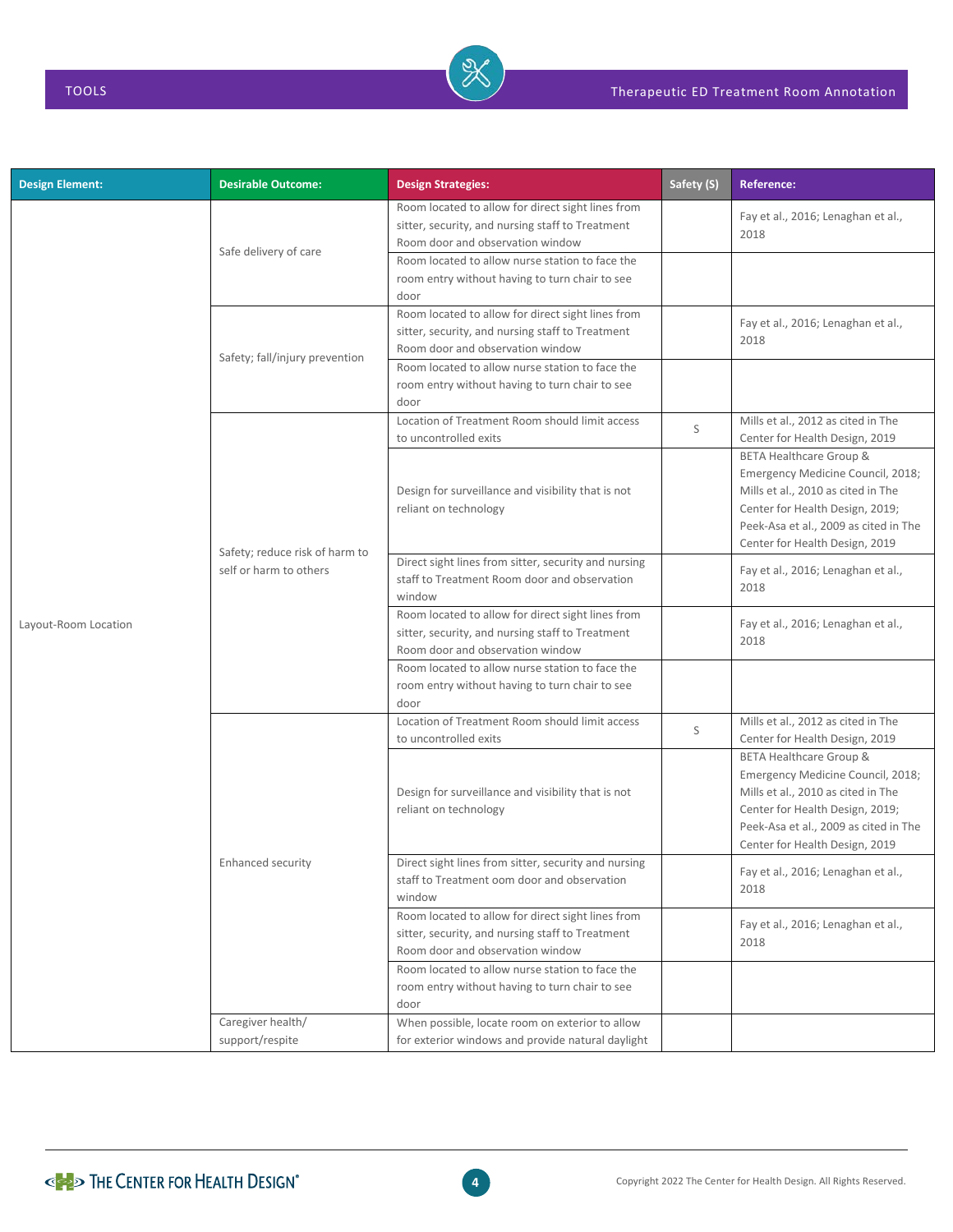| <b>Design Element:</b> | <b>Desirable Outcome:</b>            | <b>Design Strategies:</b>                                                                                                                 | Safety (S) | Reference:                                                                                                                                                                                                                  |
|------------------------|--------------------------------------|-------------------------------------------------------------------------------------------------------------------------------------------|------------|-----------------------------------------------------------------------------------------------------------------------------------------------------------------------------------------------------------------------------|
|                        | Safe delivery of care                | Room located to allow for direct sight lines from<br>sitter, security, and nursing staff to Treatment<br>Room door and observation window |            | Fay et al., 2016; Lenaghan et al.,<br>2018                                                                                                                                                                                  |
|                        |                                      | Room located to allow nurse station to face the<br>room entry without having to turn chair to see<br>door                                 |            |                                                                                                                                                                                                                             |
|                        | Safety; fall/injury prevention       | Room located to allow for direct sight lines from<br>sitter, security, and nursing staff to Treatment<br>Room door and observation window |            | Fay et al., 2016; Lenaghan et al.,<br>2018                                                                                                                                                                                  |
|                        |                                      | Room located to allow nurse station to face the<br>room entry without having to turn chair to see<br>door                                 |            |                                                                                                                                                                                                                             |
|                        |                                      | Location of Treatment Room should limit access<br>to uncontrolled exits                                                                   | S          | Mills et al., 2012 as cited in The<br>Center for Health Design, 2019                                                                                                                                                        |
|                        | Safety; reduce risk of harm to       | Design for surveillance and visibility that is not<br>reliant on technology                                                               |            | <b>BETA Healthcare Group &amp;</b><br>Emergency Medicine Council, 2018;<br>Mills et al., 2010 as cited in The<br>Center for Health Design, 2019;<br>Peek-Asa et al., 2009 as cited in The<br>Center for Health Design, 2019 |
|                        | self or harm to others               | Direct sight lines from sitter, security and nursing<br>staff to Treatment Room door and observation<br>window                            |            | Fay et al., 2016; Lenaghan et al.,<br>2018                                                                                                                                                                                  |
| Layout-Room Location   |                                      | Room located to allow for direct sight lines from<br>sitter, security, and nursing staff to Treatment<br>Room door and observation window |            | Fay et al., 2016; Lenaghan et al.,<br>2018                                                                                                                                                                                  |
|                        |                                      | Room located to allow nurse station to face the<br>room entry without having to turn chair to see<br>door                                 |            |                                                                                                                                                                                                                             |
|                        |                                      | Location of Treatment Room should limit access<br>to uncontrolled exits                                                                   | S          | Mills et al., 2012 as cited in The<br>Center for Health Design, 2019                                                                                                                                                        |
|                        |                                      | Design for surveillance and visibility that is not<br>reliant on technology                                                               |            | <b>BETA Healthcare Group &amp;</b><br>Emergency Medicine Council, 2018;<br>Mills et al., 2010 as cited in The<br>Center for Health Design, 2019;<br>Peek-Asa et al., 2009 as cited in The<br>Center for Health Design, 2019 |
|                        | Enhanced security                    | Direct sight lines from sitter, security and nursing<br>staff to Treatment oom door and observation<br>window                             |            | Fay et al., 2016; Lenaghan et al.,<br>2018                                                                                                                                                                                  |
|                        |                                      | Room located to allow for direct sight lines from<br>sitter, security, and nursing staff to Treatment<br>Room door and observation window |            | Fay et al., 2016; Lenaghan et al.,<br>2018                                                                                                                                                                                  |
|                        |                                      | Room located to allow nurse station to face the<br>room entry without having to turn chair to see<br>door                                 |            |                                                                                                                                                                                                                             |
|                        | Caregiver health/<br>support/respite | When possible, locate room on exterior to allow<br>for exterior windows and provide natural daylight                                      |            |                                                                                                                                                                                                                             |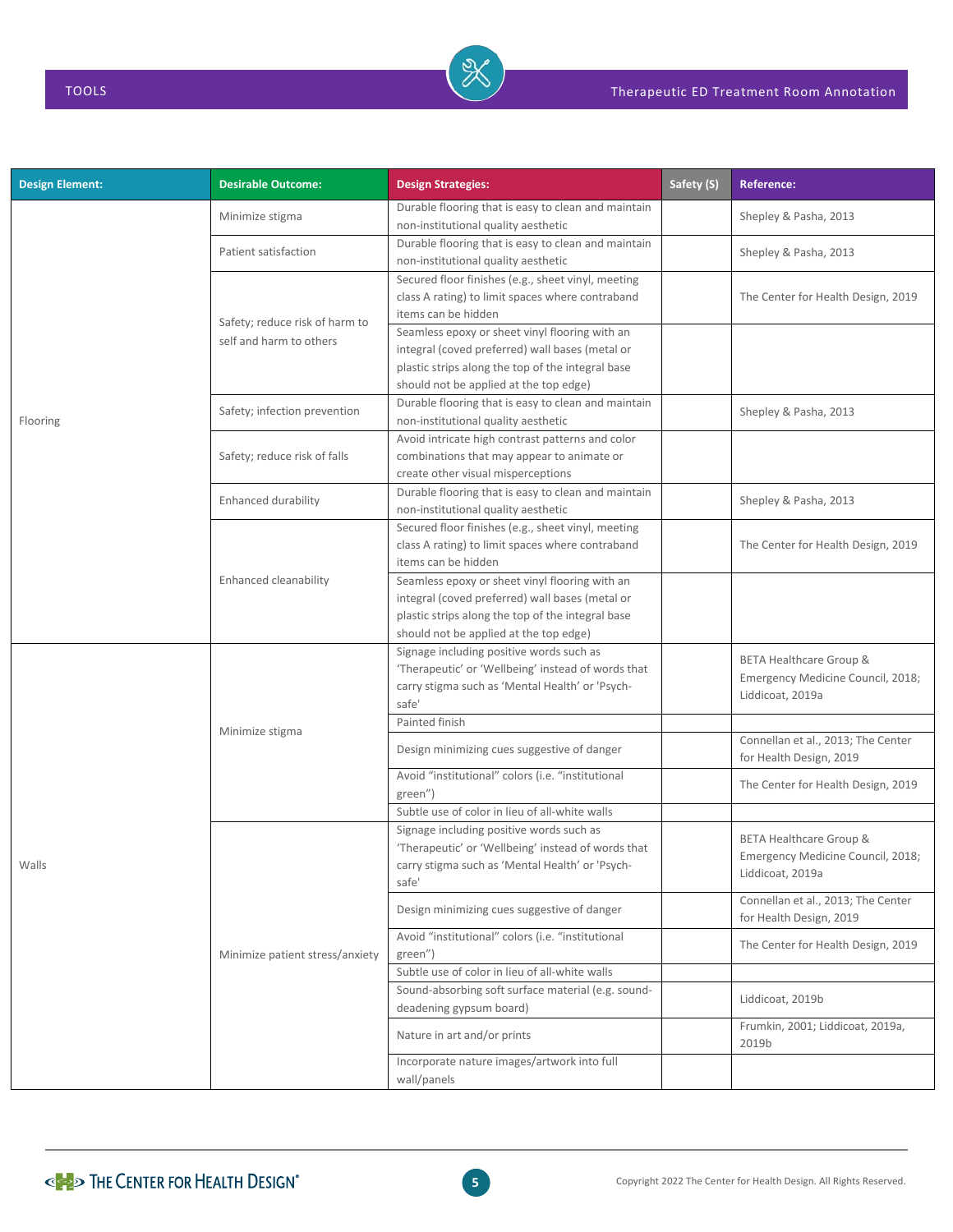| <b>Design Element:</b> | <b>Desirable Outcome:</b>       | <b>Design Strategies:</b>                                                                                                                                                                                    | Safety (S) | <b>Reference:</b>                                                                           |
|------------------------|---------------------------------|--------------------------------------------------------------------------------------------------------------------------------------------------------------------------------------------------------------|------------|---------------------------------------------------------------------------------------------|
|                        | Minimize stigma                 | Durable flooring that is easy to clean and maintain<br>non-institutional quality aesthetic                                                                                                                   |            | Shepley & Pasha, 2013                                                                       |
|                        | Patient satisfaction            | Durable flooring that is easy to clean and maintain<br>non-institutional quality aesthetic                                                                                                                   |            | Shepley & Pasha, 2013                                                                       |
|                        | Safety; reduce risk of harm to  | Secured floor finishes (e.g., sheet vinyl, meeting<br>class A rating) to limit spaces where contraband<br>items can be hidden                                                                                |            | The Center for Health Design, 2019                                                          |
|                        | self and harm to others         | Seamless epoxy or sheet vinyl flooring with an<br>integral (coved preferred) wall bases (metal or<br>plastic strips along the top of the integral base<br>should not be applied at the top edge)             |            |                                                                                             |
| Flooring               | Safety; infection prevention    | Durable flooring that is easy to clean and maintain<br>non-institutional quality aesthetic                                                                                                                   |            | Shepley & Pasha, 2013                                                                       |
|                        | Safety; reduce risk of falls    | Avoid intricate high contrast patterns and color<br>combinations that may appear to animate or<br>create other visual misperceptions                                                                         |            |                                                                                             |
|                        | Enhanced durability             | Durable flooring that is easy to clean and maintain<br>non-institutional quality aesthetic                                                                                                                   |            | Shepley & Pasha, 2013                                                                       |
|                        | Enhanced cleanability           | Secured floor finishes (e.g., sheet vinyl, meeting<br>class A rating) to limit spaces where contraband<br>items can be hidden                                                                                |            | The Center for Health Design, 2019                                                          |
|                        |                                 | Seamless epoxy or sheet vinyl flooring with an<br>integral (coved preferred) wall bases (metal or<br>plastic strips along the top of the integral base<br>should not be applied at the top edge)             |            |                                                                                             |
|                        |                                 | Signage including positive words such as<br>'Therapeutic' or 'Wellbeing' instead of words that<br>carry stigma such as 'Mental Health' or 'Psych-<br>safe'                                                   |            | <b>BETA Healthcare Group &amp;</b><br>Emergency Medicine Council, 2018;<br>Liddicoat, 2019a |
|                        |                                 | Painted finish                                                                                                                                                                                               |            |                                                                                             |
|                        | Minimize stigma                 | Design minimizing cues suggestive of danger                                                                                                                                                                  |            | Connellan et al., 2013; The Center<br>for Health Design, 2019                               |
|                        |                                 | Avoid "institutional" colors (i.e. "institutional<br>green")                                                                                                                                                 |            | The Center for Health Design, 2019                                                          |
| Walls                  |                                 | Subtle use of color in lieu of all-white walls<br>Signage including positive words such as<br>'Therapeutic' or 'Wellbeing' instead of words that<br>carry stigma such as 'Mental Health' or 'Psych-<br>safe' |            | <b>BETA Healthcare Group &amp;</b><br>Emergency Medicine Council, 2018;<br>Liddicoat, 2019a |
|                        |                                 | Design minimizing cues suggestive of danger                                                                                                                                                                  |            | Connellan et al., 2013; The Center<br>for Health Design, 2019                               |
|                        | Minimize patient stress/anxiety | Avoid "institutional" colors (i.e. "institutional<br>green")                                                                                                                                                 |            | The Center for Health Design, 2019                                                          |
|                        |                                 | Subtle use of color in lieu of all-white walls                                                                                                                                                               |            |                                                                                             |
|                        |                                 | Sound-absorbing soft surface material (e.g. sound-<br>deadening gypsum board)                                                                                                                                |            | Liddicoat, 2019b                                                                            |
|                        |                                 | Nature in art and/or prints                                                                                                                                                                                  |            | Frumkin, 2001; Liddicoat, 2019a,<br>2019b                                                   |
|                        |                                 | Incorporate nature images/artwork into full<br>wall/panels                                                                                                                                                   |            |                                                                                             |

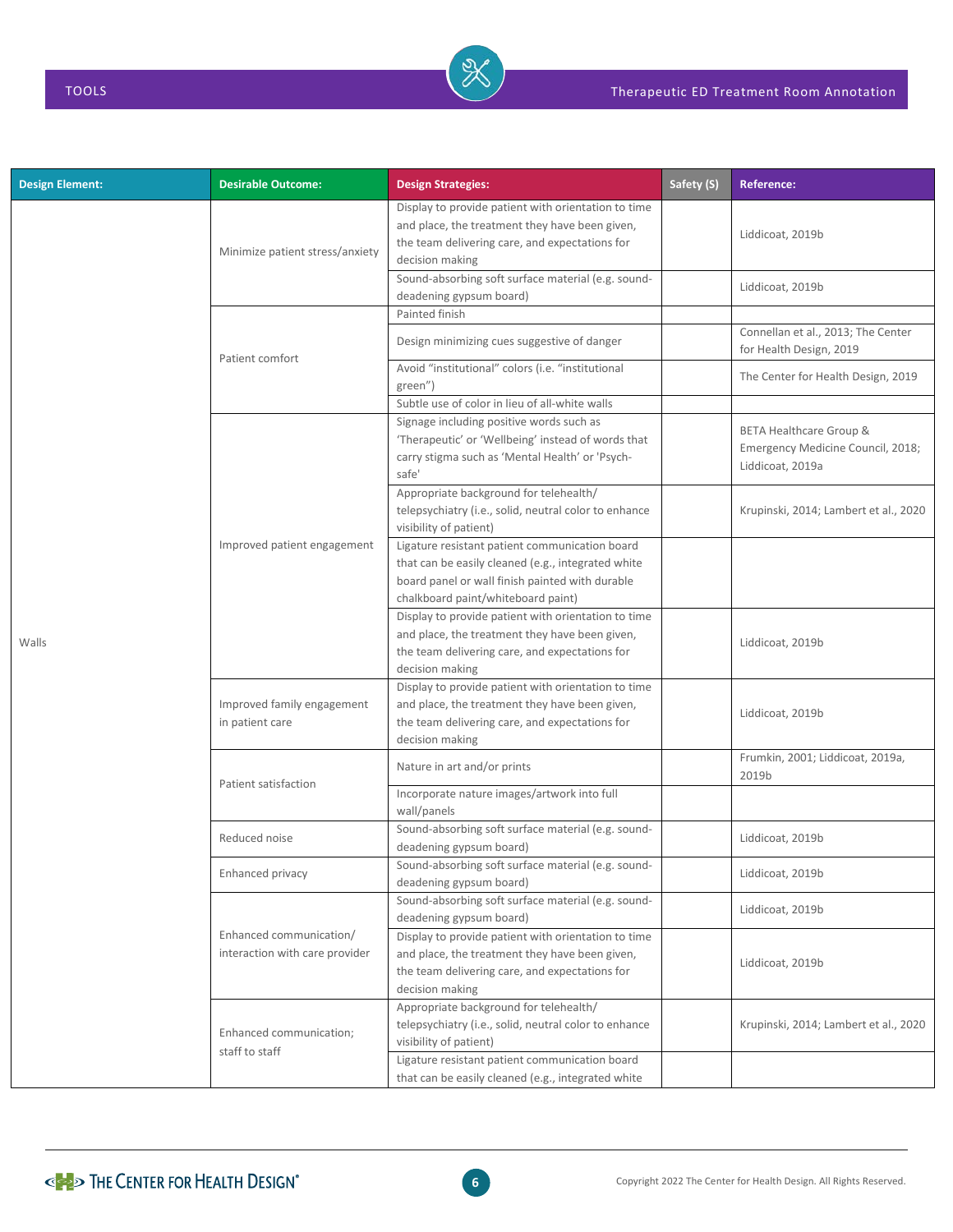| <b>Design Element:</b> | <b>Desirable Outcome:</b>                                 | <b>Design Strategies:</b>                                                                                                                                                                     | Safety (S) | <b>Reference:</b>                                                                |
|------------------------|-----------------------------------------------------------|-----------------------------------------------------------------------------------------------------------------------------------------------------------------------------------------------|------------|----------------------------------------------------------------------------------|
|                        | Minimize patient stress/anxiety                           | Display to provide patient with orientation to time<br>and place, the treatment they have been given,<br>the team delivering care, and expectations for<br>decision making                    |            | Liddicoat, 2019b                                                                 |
|                        |                                                           | Sound-absorbing soft surface material (e.g. sound-<br>deadening gypsum board)                                                                                                                 |            | Liddicoat, 2019b                                                                 |
|                        |                                                           | Painted finish                                                                                                                                                                                |            |                                                                                  |
|                        | Patient comfort                                           | Design minimizing cues suggestive of danger                                                                                                                                                   |            | Connellan et al., 2013; The Center<br>for Health Design, 2019                    |
|                        |                                                           | Avoid "institutional" colors (i.e. "institutional<br>green")                                                                                                                                  |            | The Center for Health Design, 2019                                               |
|                        |                                                           | Subtle use of color in lieu of all-white walls                                                                                                                                                |            |                                                                                  |
|                        |                                                           | Signage including positive words such as<br>'Therapeutic' or 'Wellbeing' instead of words that<br>carry stigma such as 'Mental Health' or 'Psych-<br>safe'                                    |            | BETA Healthcare Group &<br>Emergency Medicine Council, 2018;<br>Liddicoat, 2019a |
|                        |                                                           | Appropriate background for telehealth/<br>telepsychiatry (i.e., solid, neutral color to enhance<br>visibility of patient)                                                                     |            | Krupinski, 2014; Lambert et al., 2020                                            |
| Walls                  | Improved patient engagement                               | Ligature resistant patient communication board<br>that can be easily cleaned (e.g., integrated white<br>board panel or wall finish painted with durable<br>chalkboard paint/whiteboard paint) |            |                                                                                  |
|                        |                                                           | Display to provide patient with orientation to time<br>and place, the treatment they have been given,<br>the team delivering care, and expectations for<br>decision making                    |            | Liddicoat, 2019b                                                                 |
|                        | Improved family engagement<br>in patient care             | Display to provide patient with orientation to time<br>and place, the treatment they have been given,<br>the team delivering care, and expectations for<br>decision making                    |            | Liddicoat, 2019b                                                                 |
|                        | Patient satisfaction                                      | Nature in art and/or prints                                                                                                                                                                   |            | Frumkin, 2001; Liddicoat, 2019a,<br>2019b                                        |
|                        |                                                           | Incorporate nature images/artwork into full<br>wall/panels                                                                                                                                    |            |                                                                                  |
|                        | Reduced noise                                             | Sound-absorbing soft surface material (e.g. sound-<br>deadening gypsum board)                                                                                                                 |            | Liddicoat, 2019b                                                                 |
|                        | Enhanced privacy                                          | Sound-absorbing soft surface material (e.g. sound-<br>deadening gypsum board)                                                                                                                 |            | Liddicoat, 2019b                                                                 |
|                        |                                                           | Sound-absorbing soft surface material (e.g. sound-<br>deadening gypsum board)                                                                                                                 |            | Liddicoat, 2019b                                                                 |
|                        | Enhanced communication/<br>interaction with care provider | Display to provide patient with orientation to time<br>and place, the treatment they have been given,<br>the team delivering care, and expectations for<br>decision making                    |            | Liddicoat, 2019b                                                                 |
|                        | Enhanced communication;<br>staff to staff                 | Appropriate background for telehealth/<br>telepsychiatry (i.e., solid, neutral color to enhance<br>visibility of patient)                                                                     |            | Krupinski, 2014; Lambert et al., 2020                                            |
|                        |                                                           | Ligature resistant patient communication board<br>that can be easily cleaned (e.g., integrated white                                                                                          |            |                                                                                  |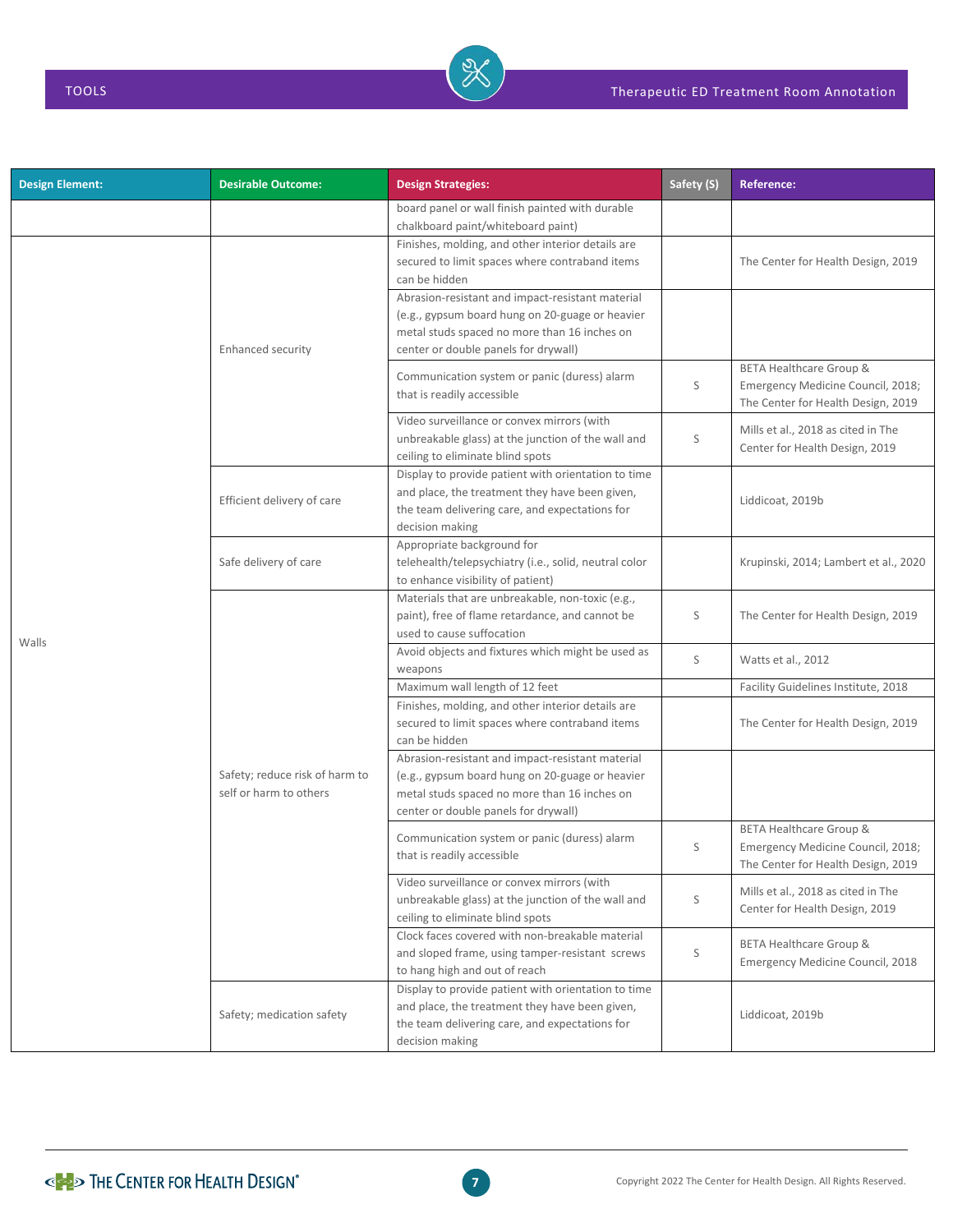| <b>Design Element:</b> | <b>Desirable Outcome:</b>                                | <b>Design Strategies:</b>                                                                                                                                                                   | Safety (S)  | <b>Reference:</b>                                                                                             |
|------------------------|----------------------------------------------------------|---------------------------------------------------------------------------------------------------------------------------------------------------------------------------------------------|-------------|---------------------------------------------------------------------------------------------------------------|
|                        |                                                          | board panel or wall finish painted with durable<br>chalkboard paint/whiteboard paint)                                                                                                       |             |                                                                                                               |
|                        |                                                          | Finishes, molding, and other interior details are<br>secured to limit spaces where contraband items<br>can be hidden<br>Abrasion-resistant and impact-resistant material                    |             | The Center for Health Design, 2019                                                                            |
|                        | <b>Enhanced security</b>                                 | (e.g., gypsum board hung on 20-guage or heavier<br>metal studs spaced no more than 16 inches on<br>center or double panels for drywall)                                                     |             |                                                                                                               |
|                        |                                                          | Communication system or panic (duress) alarm<br>that is readily accessible                                                                                                                  | S           | <b>BETA Healthcare Group &amp;</b><br>Emergency Medicine Council, 2018;<br>The Center for Health Design, 2019 |
|                        |                                                          | Video surveillance or convex mirrors (with<br>unbreakable glass) at the junction of the wall and<br>ceiling to eliminate blind spots                                                        | S           | Mills et al., 2018 as cited in The<br>Center for Health Design, 2019                                          |
|                        | Efficient delivery of care                               | Display to provide patient with orientation to time<br>and place, the treatment they have been given,<br>the team delivering care, and expectations for<br>decision making                  |             | Liddicoat, 2019b                                                                                              |
|                        | Safe delivery of care                                    | Appropriate background for<br>telehealth/telepsychiatry (i.e., solid, neutral color<br>to enhance visibility of patient)                                                                    |             | Krupinski, 2014; Lambert et al., 2020                                                                         |
|                        |                                                          | Materials that are unbreakable, non-toxic (e.g.,<br>paint), free of flame retardance, and cannot be<br>used to cause suffocation                                                            | S           | The Center for Health Design, 2019                                                                            |
| Walls                  |                                                          | Avoid objects and fixtures which might be used as<br>weapons                                                                                                                                | S           | Watts et al., 2012                                                                                            |
|                        |                                                          | Maximum wall length of 12 feet                                                                                                                                                              |             | Facility Guidelines Institute, 2018                                                                           |
|                        | Safety; reduce risk of harm to<br>self or harm to others | Finishes, molding, and other interior details are<br>secured to limit spaces where contraband items<br>can be hidden                                                                        |             | The Center for Health Design, 2019                                                                            |
|                        |                                                          | Abrasion-resistant and impact-resistant material<br>(e.g., gypsum board hung on 20-guage or heavier<br>metal studs spaced no more than 16 inches on<br>center or double panels for drywall) |             |                                                                                                               |
|                        |                                                          | Communication system or panic (duress) alarm<br>that is readily accessible                                                                                                                  | S           | BETA Healthcare Group &<br>Emergency Medicine Council, 2018;<br>The Center for Health Design, 2019            |
|                        |                                                          | Video surveillance or convex mirrors (with<br>unbreakable glass) at the junction of the wall and<br>ceiling to eliminate blind spots                                                        | $\mathsf S$ | Mills et al., 2018 as cited in The<br>Center for Health Design, 2019                                          |
|                        |                                                          | Clock faces covered with non-breakable material<br>and sloped frame, using tamper-resistant screws<br>to hang high and out of reach                                                         | S           | <b>BETA Healthcare Group &amp;</b><br>Emergency Medicine Council, 2018                                        |
|                        | Safety; medication safety                                | Display to provide patient with orientation to time<br>and place, the treatment they have been given,<br>the team delivering care, and expectations for<br>decision making                  |             | Liddicoat, 2019b                                                                                              |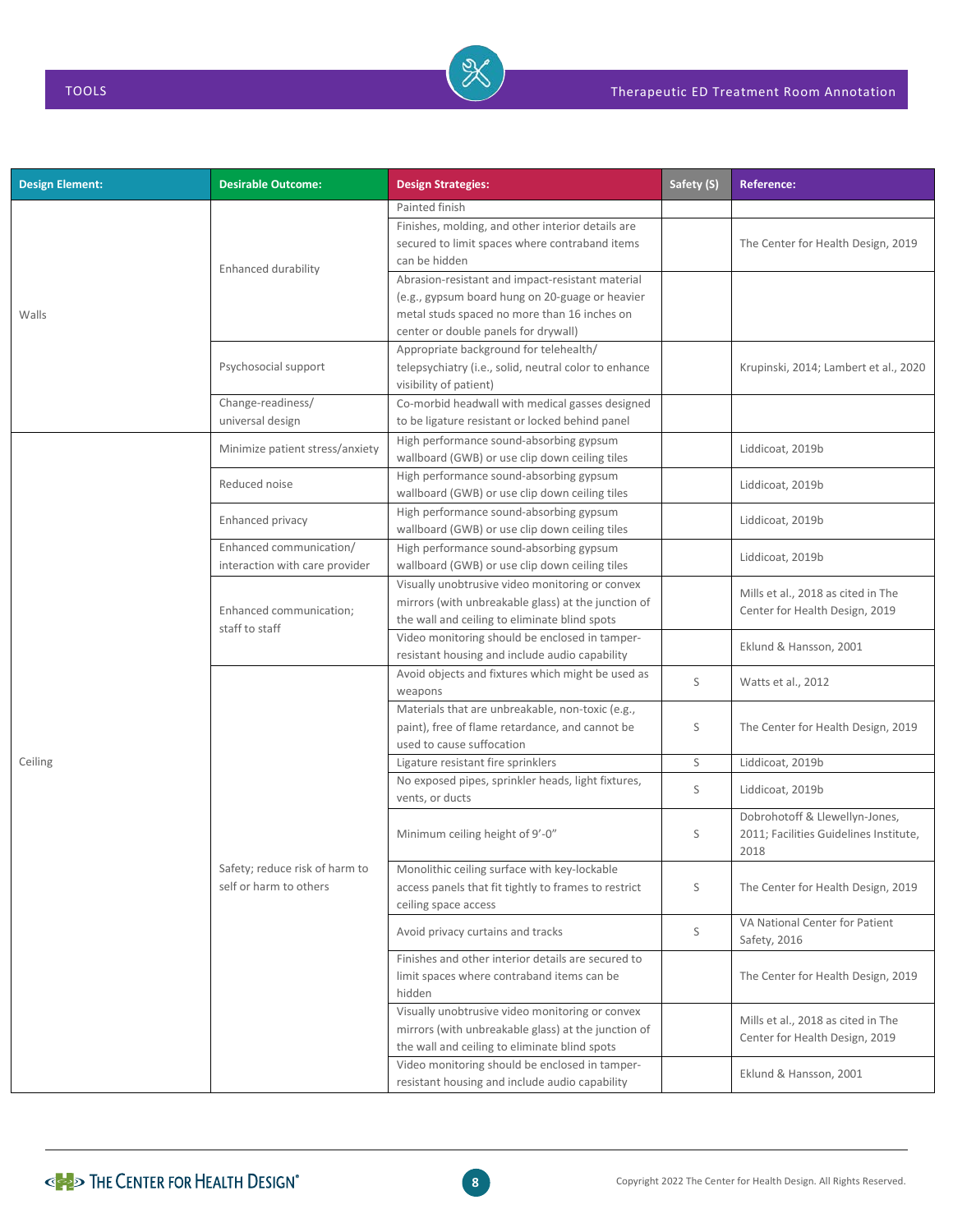| <b>Design Element:</b> | <b>Desirable Outcome:</b>                                 | <b>Design Strategies:</b>                                                                                                                                                                   | Safety (S) | <b>Reference:</b>                                                                |
|------------------------|-----------------------------------------------------------|---------------------------------------------------------------------------------------------------------------------------------------------------------------------------------------------|------------|----------------------------------------------------------------------------------|
|                        |                                                           | Painted finish                                                                                                                                                                              |            |                                                                                  |
|                        | Enhanced durability                                       | Finishes, molding, and other interior details are<br>secured to limit spaces where contraband items<br>can be hidden                                                                        |            | The Center for Health Design, 2019                                               |
| Walls                  |                                                           | Abrasion-resistant and impact-resistant material<br>(e.g., gypsum board hung on 20-guage or heavier<br>metal studs spaced no more than 16 inches on<br>center or double panels for drywall) |            |                                                                                  |
|                        | Psychosocial support                                      | Appropriate background for telehealth/<br>telepsychiatry (i.e., solid, neutral color to enhance<br>visibility of patient)                                                                   |            | Krupinski, 2014; Lambert et al., 2020                                            |
|                        | Change-readiness/<br>universal design                     | Co-morbid headwall with medical gasses designed<br>to be ligature resistant or locked behind panel                                                                                          |            |                                                                                  |
|                        | Minimize patient stress/anxiety                           | High performance sound-absorbing gypsum<br>wallboard (GWB) or use clip down ceiling tiles                                                                                                   |            | Liddicoat, 2019b                                                                 |
|                        | Reduced noise                                             | High performance sound-absorbing gypsum<br>wallboard (GWB) or use clip down ceiling tiles                                                                                                   |            | Liddicoat, 2019b                                                                 |
|                        | Enhanced privacy                                          | High performance sound-absorbing gypsum<br>wallboard (GWB) or use clip down ceiling tiles                                                                                                   |            | Liddicoat, 2019b                                                                 |
|                        | Enhanced communication/<br>interaction with care provider | High performance sound-absorbing gypsum<br>wallboard (GWB) or use clip down ceiling tiles                                                                                                   |            | Liddicoat, 2019b                                                                 |
|                        | Enhanced communication;<br>staff to staff                 | Visually unobtrusive video monitoring or convex<br>mirrors (with unbreakable glass) at the junction of<br>the wall and ceiling to eliminate blind spots                                     |            | Mills et al., 2018 as cited in The<br>Center for Health Design, 2019             |
|                        |                                                           | Video monitoring should be enclosed in tamper-<br>resistant housing and include audio capability                                                                                            |            | Eklund & Hansson, 2001                                                           |
|                        |                                                           | Avoid objects and fixtures which might be used as<br>weapons                                                                                                                                | S          | Watts et al., 2012                                                               |
|                        |                                                           | Materials that are unbreakable, non-toxic (e.g.,<br>paint), free of flame retardance, and cannot be<br>used to cause suffocation                                                            | S          | The Center for Health Design, 2019                                               |
| Ceiling                |                                                           | Ligature resistant fire sprinklers                                                                                                                                                          | S          | Liddicoat, 2019b                                                                 |
|                        |                                                           | No exposed pipes, sprinkler heads, light fixtures,<br>vents, or ducts                                                                                                                       | S          | Liddicoat, 2019b                                                                 |
|                        |                                                           | Minimum ceiling height of 9'-0"                                                                                                                                                             | S          | Dobrohotoff & Llewellyn-Jones,<br>2011; Facilities Guidelines Institute,<br>2018 |
|                        | Safety; reduce risk of harm to<br>self or harm to others  | Monolithic ceiling surface with key-lockable<br>access panels that fit tightly to frames to restrict<br>ceiling space access                                                                | S          | The Center for Health Design, 2019                                               |
|                        |                                                           | Avoid privacy curtains and tracks                                                                                                                                                           | S          | VA National Center for Patient<br>Safety, 2016                                   |
|                        |                                                           | Finishes and other interior details are secured to<br>limit spaces where contraband items can be<br>hidden                                                                                  |            | The Center for Health Design, 2019                                               |
|                        |                                                           | Visually unobtrusive video monitoring or convex<br>mirrors (with unbreakable glass) at the junction of<br>the wall and ceiling to eliminate blind spots                                     |            | Mills et al., 2018 as cited in The<br>Center for Health Design, 2019             |
|                        |                                                           | Video monitoring should be enclosed in tamper-<br>resistant housing and include audio capability                                                                                            |            | Eklund & Hansson, 2001                                                           |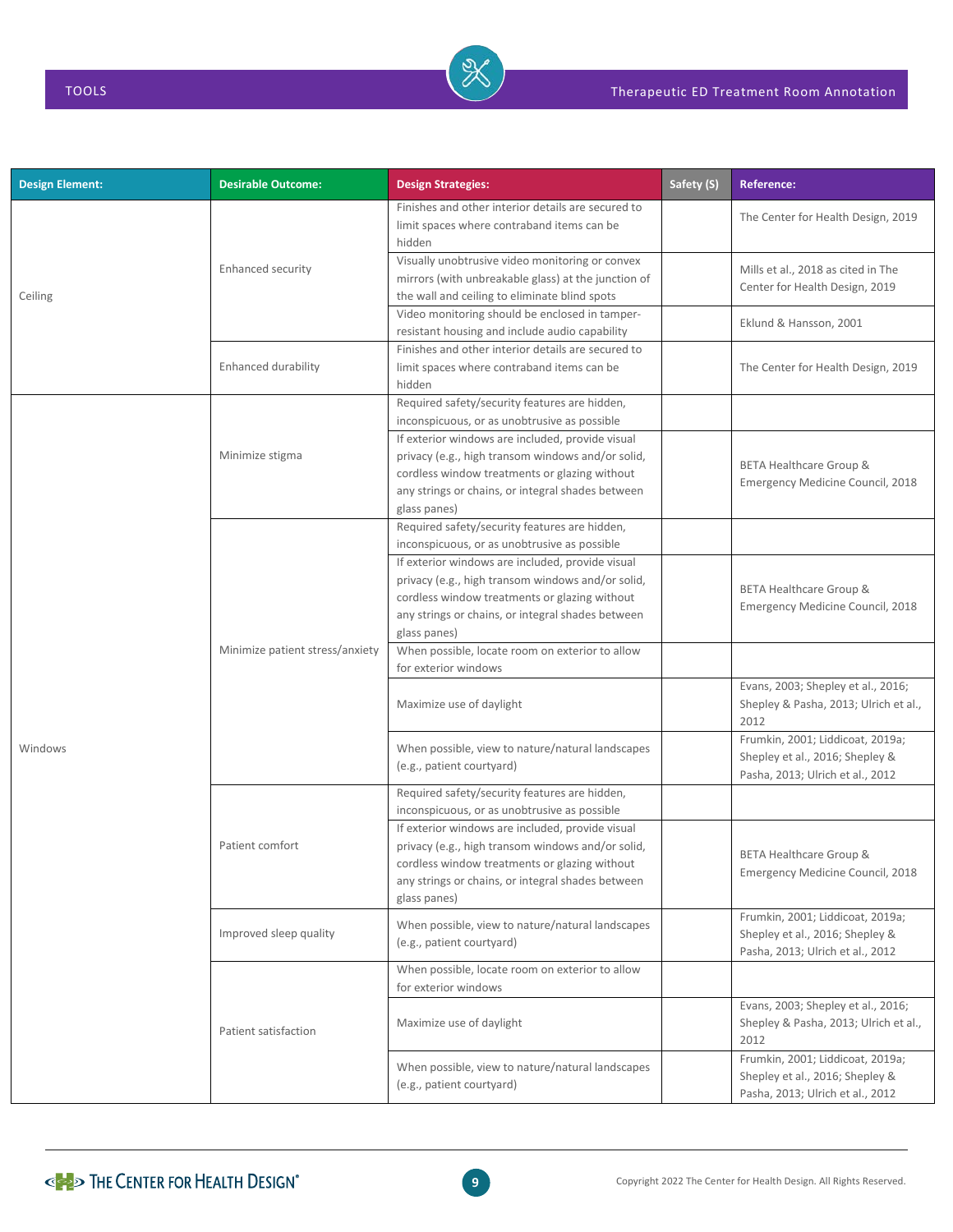| <b>Design Element:</b> | <b>Desirable Outcome:</b>       | <b>Design Strategies:</b>                                                                                                                                                                                                   | Safety (S) | <b>Reference:</b>                                                                                       |
|------------------------|---------------------------------|-----------------------------------------------------------------------------------------------------------------------------------------------------------------------------------------------------------------------------|------------|---------------------------------------------------------------------------------------------------------|
|                        |                                 | Finishes and other interior details are secured to<br>limit spaces where contraband items can be<br>hidden                                                                                                                  |            | The Center for Health Design, 2019                                                                      |
| Ceiling                | Enhanced security               | Visually unobtrusive video monitoring or convex<br>mirrors (with unbreakable glass) at the junction of<br>the wall and ceiling to eliminate blind spots                                                                     |            | Mills et al., 2018 as cited in The<br>Center for Health Design, 2019                                    |
|                        |                                 | Video monitoring should be enclosed in tamper-<br>resistant housing and include audio capability                                                                                                                            |            | Eklund & Hansson, 2001                                                                                  |
|                        | <b>Enhanced durability</b>      | Finishes and other interior details are secured to<br>limit spaces where contraband items can be<br>hidden                                                                                                                  |            | The Center for Health Design, 2019                                                                      |
|                        |                                 | Required safety/security features are hidden,<br>inconspicuous, or as unobtrusive as possible                                                                                                                               |            |                                                                                                         |
|                        | Minimize stigma                 | If exterior windows are included, provide visual<br>privacy (e.g., high transom windows and/or solid,<br>cordless window treatments or glazing without<br>any strings or chains, or integral shades between<br>glass panes) |            | BETA Healthcare Group &<br>Emergency Medicine Council, 2018                                             |
|                        |                                 | Required safety/security features are hidden,<br>inconspicuous, or as unobtrusive as possible                                                                                                                               |            |                                                                                                         |
|                        | Minimize patient stress/anxiety | If exterior windows are included, provide visual<br>privacy (e.g., high transom windows and/or solid,<br>cordless window treatments or glazing without<br>any strings or chains, or integral shades between<br>glass panes) |            | <b>BETA Healthcare Group &amp;</b><br>Emergency Medicine Council, 2018                                  |
|                        |                                 | When possible, locate room on exterior to allow<br>for exterior windows                                                                                                                                                     |            |                                                                                                         |
|                        |                                 | Maximize use of daylight                                                                                                                                                                                                    |            | Evans, 2003; Shepley et al., 2016;<br>Shepley & Pasha, 2013; Ulrich et al.,<br>2012                     |
| Windows                |                                 | When possible, view to nature/natural landscapes<br>(e.g., patient courtyard)                                                                                                                                               |            | Frumkin, 2001; Liddicoat, 2019a;<br>Shepley et al., 2016; Shepley &<br>Pasha, 2013; Ulrich et al., 2012 |
|                        |                                 | Required safety/security features are hidden,<br>inconspicuous, or as unobtrusive as possible                                                                                                                               |            |                                                                                                         |
|                        | Patient comfort                 | If exterior windows are included, provide visual<br>privacy (e.g., high transom windows and/or solid,<br>cordless window treatments or glazing without<br>any strings or chains, or integral shades between<br>glass panes) |            | <b>BETA Healthcare Group &amp;</b><br>Emergency Medicine Council, 2018                                  |
|                        | Improved sleep quality          | When possible, view to nature/natural landscapes<br>(e.g., patient courtyard)                                                                                                                                               |            | Frumkin, 2001; Liddicoat, 2019a;<br>Shepley et al., 2016; Shepley &<br>Pasha, 2013; Ulrich et al., 2012 |
|                        |                                 | When possible, locate room on exterior to allow<br>for exterior windows                                                                                                                                                     |            |                                                                                                         |
|                        | Patient satisfaction            | Maximize use of daylight                                                                                                                                                                                                    |            | Evans, 2003; Shepley et al., 2016;<br>Shepley & Pasha, 2013; Ulrich et al.,<br>2012                     |
|                        |                                 | When possible, view to nature/natural landscapes<br>(e.g., patient courtyard)                                                                                                                                               |            | Frumkin, 2001; Liddicoat, 2019a;<br>Shepley et al., 2016; Shepley &<br>Pasha, 2013; Ulrich et al., 2012 |

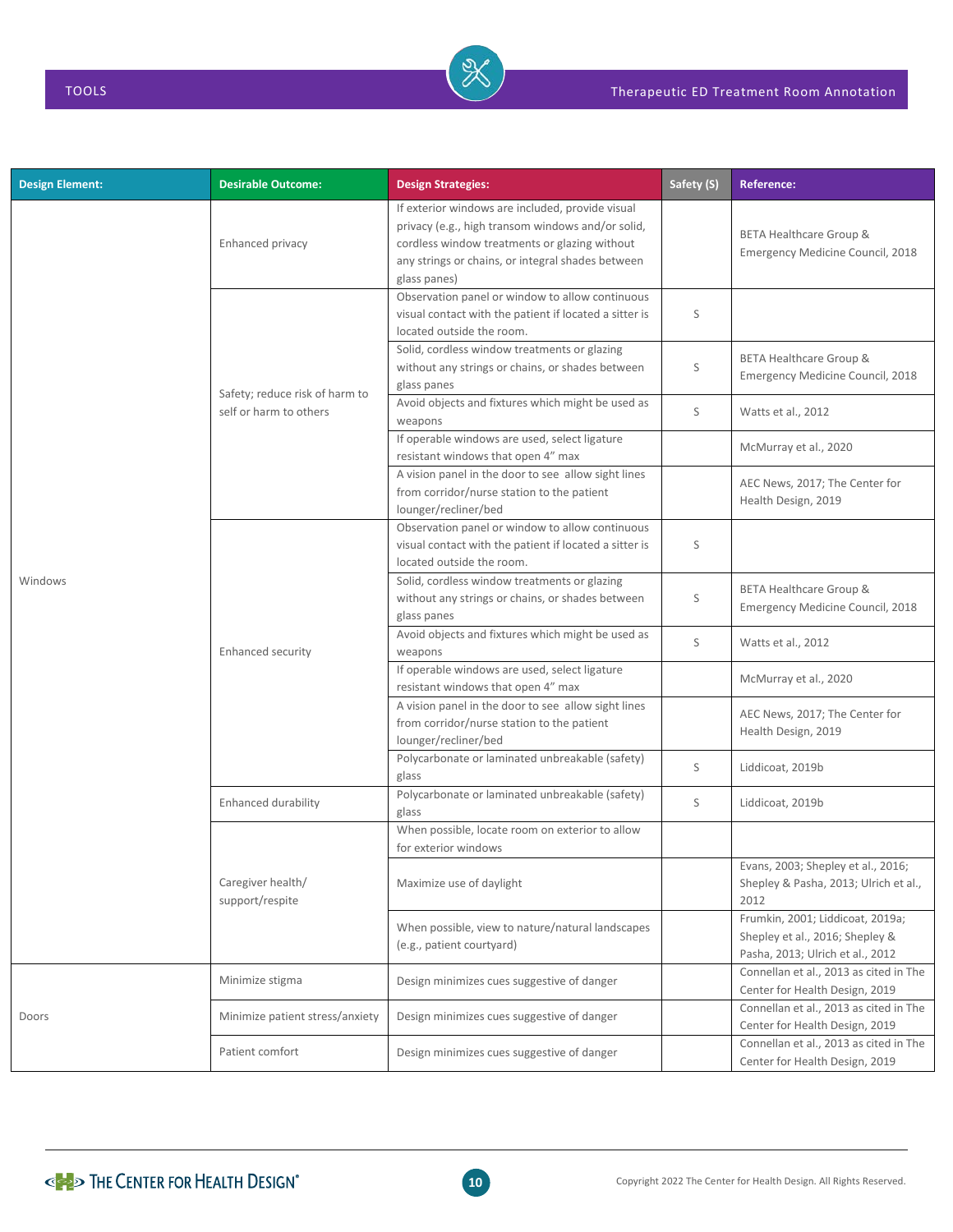| <b>Design Element:</b> | <b>Desirable Outcome:</b>            | <b>Design Strategies:</b>                                                                                                                                                                                                   | Safety (S) | <b>Reference:</b>                                                                                       |
|------------------------|--------------------------------------|-----------------------------------------------------------------------------------------------------------------------------------------------------------------------------------------------------------------------------|------------|---------------------------------------------------------------------------------------------------------|
|                        | Enhanced privacy                     | If exterior windows are included, provide visual<br>privacy (e.g., high transom windows and/or solid,<br>cordless window treatments or glazing without<br>any strings or chains, or integral shades between<br>glass panes) |            | BETA Healthcare Group &<br>Emergency Medicine Council, 2018                                             |
|                        |                                      | Observation panel or window to allow continuous<br>visual contact with the patient if located a sitter is<br>located outside the room.                                                                                      | S          |                                                                                                         |
|                        | Safety; reduce risk of harm to       | Solid, cordless window treatments or glazing<br>without any strings or chains, or shades between<br>glass panes                                                                                                             | S          | BETA Healthcare Group &<br>Emergency Medicine Council, 2018                                             |
|                        | self or harm to others               | Avoid objects and fixtures which might be used as<br>weapons                                                                                                                                                                | S          | Watts et al., 2012                                                                                      |
|                        |                                      | If operable windows are used, select ligature<br>resistant windows that open 4" max                                                                                                                                         |            | McMurray et al., 2020                                                                                   |
|                        |                                      | A vision panel in the door to see allow sight lines<br>from corridor/nurse station to the patient<br>lounger/recliner/bed                                                                                                   |            | AEC News, 2017; The Center for<br>Health Design, 2019                                                   |
|                        | <b>Enhanced security</b>             | Observation panel or window to allow continuous<br>visual contact with the patient if located a sitter is<br>located outside the room.                                                                                      | S          |                                                                                                         |
| Windows                |                                      | Solid, cordless window treatments or glazing<br>without any strings or chains, or shades between<br>glass panes                                                                                                             | S          | <b>BETA Healthcare Group &amp;</b><br>Emergency Medicine Council, 2018                                  |
|                        |                                      | Avoid objects and fixtures which might be used as<br>weapons                                                                                                                                                                | S          | Watts et al., 2012                                                                                      |
|                        |                                      | If operable windows are used, select ligature<br>resistant windows that open 4" max                                                                                                                                         |            | McMurray et al., 2020                                                                                   |
|                        |                                      | A vision panel in the door to see allow sight lines<br>from corridor/nurse station to the patient<br>lounger/recliner/bed                                                                                                   |            | AEC News, 2017; The Center for<br>Health Design, 2019                                                   |
|                        |                                      | Polycarbonate or laminated unbreakable (safety)<br>glass                                                                                                                                                                    | S          | Liddicoat, 2019b                                                                                        |
|                        | Enhanced durability                  | Polycarbonate or laminated unbreakable (safety)<br>glass                                                                                                                                                                    | S          | Liddicoat, 2019b                                                                                        |
|                        |                                      | When possible, locate room on exterior to allow<br>for exterior windows                                                                                                                                                     |            |                                                                                                         |
|                        | Caregiver health/<br>support/respite | Maximize use of daylight                                                                                                                                                                                                    |            | Evans, 2003; Shepley et al., 2016;<br>Shepley & Pasha, 2013; Ulrich et al.,<br>2012                     |
|                        |                                      | When possible, view to nature/natural landscapes<br>(e.g., patient courtyard)                                                                                                                                               |            | Frumkin, 2001; Liddicoat, 2019a;<br>Shepley et al., 2016; Shepley &<br>Pasha, 2013; Ulrich et al., 2012 |
|                        | Minimize stigma                      | Design minimizes cues suggestive of danger                                                                                                                                                                                  |            | Connellan et al., 2013 as cited in The<br>Center for Health Design, 2019                                |
| Doors                  | Minimize patient stress/anxiety      | Design minimizes cues suggestive of danger                                                                                                                                                                                  |            | Connellan et al., 2013 as cited in The<br>Center for Health Design, 2019                                |
|                        | Patient comfort                      | Design minimizes cues suggestive of danger                                                                                                                                                                                  |            | Connellan et al., 2013 as cited in The<br>Center for Health Design, 2019                                |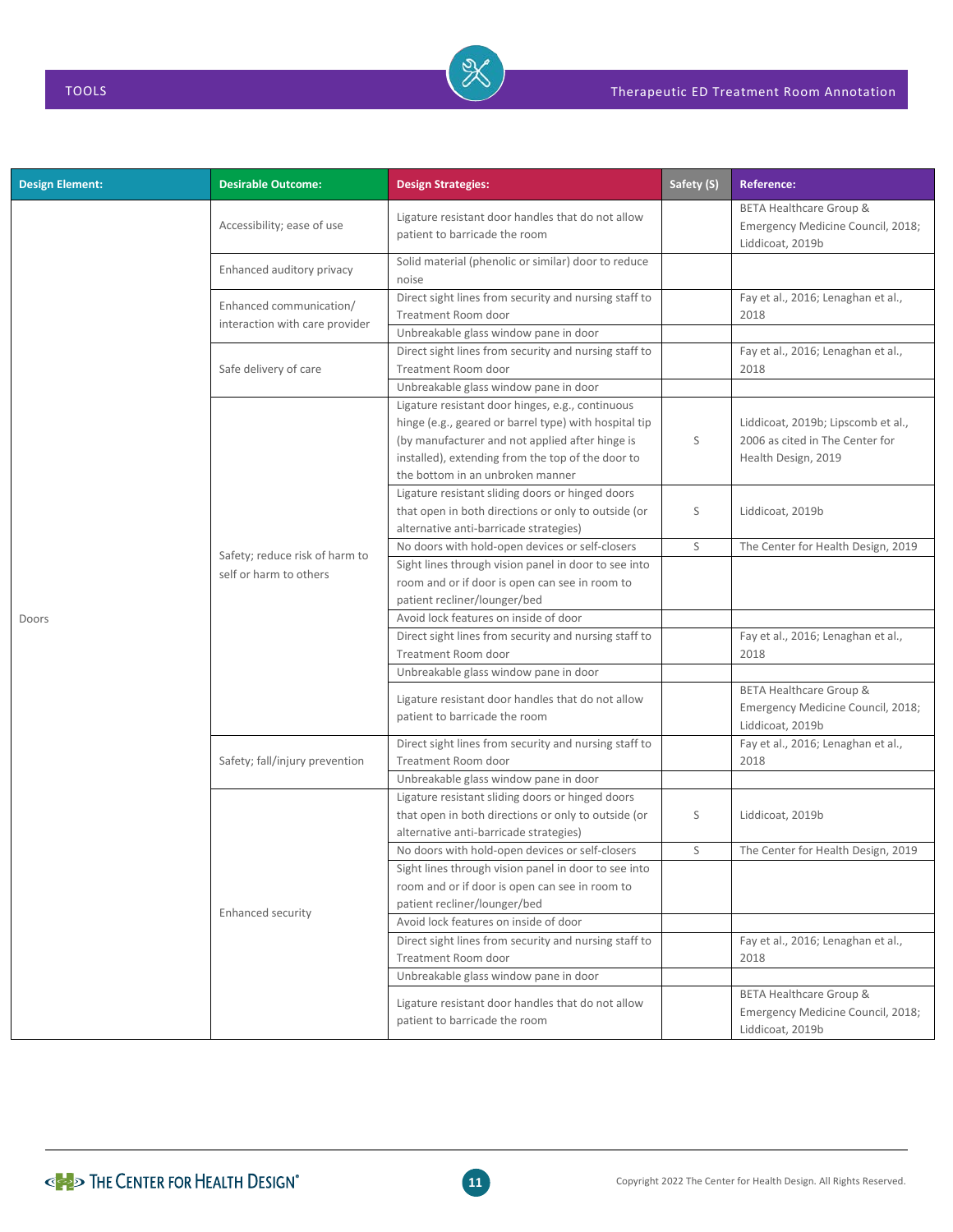| <b>Design Element:</b> | <b>Desirable Outcome:</b>                                 | <b>Design Strategies:</b>                                                                                                                                                                                                                             | Safety (S) | <b>Reference:</b>                                                                            |
|------------------------|-----------------------------------------------------------|-------------------------------------------------------------------------------------------------------------------------------------------------------------------------------------------------------------------------------------------------------|------------|----------------------------------------------------------------------------------------------|
|                        | Accessibility; ease of use                                | Ligature resistant door handles that do not allow<br>patient to barricade the room                                                                                                                                                                    |            | <b>BETA Healthcare Group &amp;</b><br>Emergency Medicine Council, 2018;<br>Liddicoat, 2019b  |
|                        | Enhanced auditory privacy                                 | Solid material (phenolic or similar) door to reduce<br>noise                                                                                                                                                                                          |            |                                                                                              |
|                        | Enhanced communication/<br>interaction with care provider | Direct sight lines from security and nursing staff to<br>Treatment Room door                                                                                                                                                                          |            | Fay et al., 2016; Lenaghan et al.,<br>2018                                                   |
|                        |                                                           | Unbreakable glass window pane in door                                                                                                                                                                                                                 |            |                                                                                              |
|                        | Safe delivery of care                                     | Direct sight lines from security and nursing staff to<br>Treatment Room door                                                                                                                                                                          |            | Fay et al., 2016; Lenaghan et al.,<br>2018                                                   |
|                        |                                                           | Unbreakable glass window pane in door                                                                                                                                                                                                                 |            |                                                                                              |
|                        |                                                           | Ligature resistant door hinges, e.g., continuous<br>hinge (e.g., geared or barrel type) with hospital tip<br>(by manufacturer and not applied after hinge is<br>installed), extending from the top of the door to<br>the bottom in an unbroken manner | S          | Liddicoat, 2019b; Lipscomb et al.,<br>2006 as cited in The Center for<br>Health Design, 2019 |
|                        |                                                           | Ligature resistant sliding doors or hinged doors<br>that open in both directions or only to outside (or<br>alternative anti-barricade strategies)                                                                                                     | S          | Liddicoat, 2019b                                                                             |
|                        |                                                           | No doors with hold-open devices or self-closers                                                                                                                                                                                                       | S          | The Center for Health Design, 2019                                                           |
|                        | Safety; reduce risk of harm to<br>self or harm to others  | Sight lines through vision panel in door to see into<br>room and or if door is open can see in room to<br>patient recliner/lounger/bed                                                                                                                |            |                                                                                              |
| Doors                  |                                                           | Avoid lock features on inside of door                                                                                                                                                                                                                 |            |                                                                                              |
|                        |                                                           | Direct sight lines from security and nursing staff to<br>Treatment Room door                                                                                                                                                                          |            | Fay et al., 2016; Lenaghan et al.,<br>2018                                                   |
|                        |                                                           | Unbreakable glass window pane in door                                                                                                                                                                                                                 |            |                                                                                              |
|                        |                                                           | Ligature resistant door handles that do not allow<br>patient to barricade the room                                                                                                                                                                    |            | <b>BETA Healthcare Group &amp;</b><br>Emergency Medicine Council, 2018;<br>Liddicoat, 2019b  |
|                        | Safety; fall/injury prevention                            | Direct sight lines from security and nursing staff to<br><b>Treatment Room door</b>                                                                                                                                                                   |            | Fay et al., 2016; Lenaghan et al.,<br>2018                                                   |
|                        |                                                           | Unbreakable glass window pane in door                                                                                                                                                                                                                 |            |                                                                                              |
|                        |                                                           | Ligature resistant sliding doors or hinged doors<br>that open in both directions or only to outside (or<br>alternative anti-barricade strategies)                                                                                                     | S          | Liddicoat, 2019b                                                                             |
|                        |                                                           | No doors with hold-open devices or self-closers                                                                                                                                                                                                       | S          | The Center for Health Design, 2019                                                           |
|                        |                                                           | Sight lines through vision panel in door to see into<br>room and or if door is open can see in room to<br>patient recliner/lounger/bed                                                                                                                |            |                                                                                              |
|                        | <b>Enhanced security</b>                                  | Avoid lock features on inside of door                                                                                                                                                                                                                 |            |                                                                                              |
|                        |                                                           | Direct sight lines from security and nursing staff to<br>Treatment Room door                                                                                                                                                                          |            | Fay et al., 2016; Lenaghan et al.,<br>2018                                                   |
|                        |                                                           | Unbreakable glass window pane in door                                                                                                                                                                                                                 |            |                                                                                              |
|                        |                                                           | Ligature resistant door handles that do not allow<br>patient to barricade the room                                                                                                                                                                    |            | <b>BETA Healthcare Group &amp;</b><br>Emergency Medicine Council, 2018;<br>Liddicoat, 2019b  |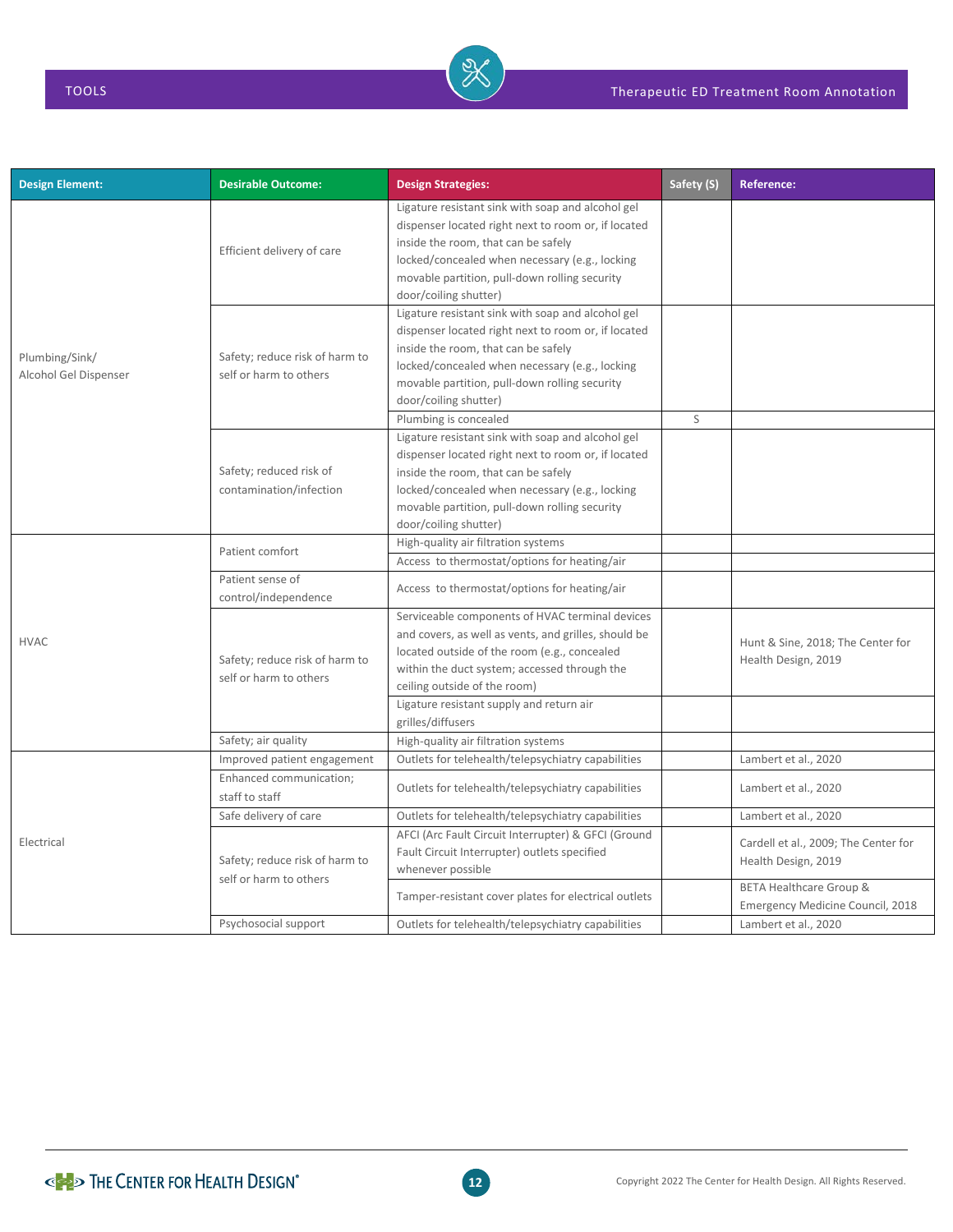| <b>Design Element:</b>                  | <b>Desirable Outcome:</b>                                | <b>Design Strategies:</b>                                                                                                                                                                                                                                                                            | Safety (S) | <b>Reference:</b>                                           |
|-----------------------------------------|----------------------------------------------------------|------------------------------------------------------------------------------------------------------------------------------------------------------------------------------------------------------------------------------------------------------------------------------------------------------|------------|-------------------------------------------------------------|
| Plumbing/Sink/<br>Alcohol Gel Dispenser | Efficient delivery of care                               | Ligature resistant sink with soap and alcohol gel<br>dispenser located right next to room or, if located<br>inside the room, that can be safely<br>locked/concealed when necessary (e.g., locking<br>movable partition, pull-down rolling security<br>door/coiling shutter)                          |            |                                                             |
|                                         | Safety; reduce risk of harm to<br>self or harm to others | Ligature resistant sink with soap and alcohol gel<br>dispenser located right next to room or, if located<br>inside the room, that can be safely<br>locked/concealed when necessary (e.g., locking<br>movable partition, pull-down rolling security<br>door/coiling shutter)                          |            |                                                             |
|                                         | Safety; reduced risk of<br>contamination/infection       | Plumbing is concealed<br>Ligature resistant sink with soap and alcohol gel<br>dispenser located right next to room or, if located<br>inside the room, that can be safely<br>locked/concealed when necessary (e.g., locking<br>movable partition, pull-down rolling security<br>door/coiling shutter) | S          |                                                             |
|                                         | Patient comfort                                          | High-quality air filtration systems<br>Access to thermostat/options for heating/air                                                                                                                                                                                                                  |            |                                                             |
|                                         | Patient sense of<br>control/independence                 | Access to thermostat/options for heating/air                                                                                                                                                                                                                                                         |            |                                                             |
| <b>HVAC</b>                             | Safety; reduce risk of harm to<br>self or harm to others | Serviceable components of HVAC terminal devices<br>and covers, as well as vents, and grilles, should be<br>located outside of the room (e.g., concealed<br>within the duct system; accessed through the<br>ceiling outside of the room)                                                              |            | Hunt & Sine, 2018; The Center for<br>Health Design, 2019    |
|                                         |                                                          | Ligature resistant supply and return air<br>grilles/diffusers                                                                                                                                                                                                                                        |            |                                                             |
|                                         | Safety; air quality                                      | High-quality air filtration systems                                                                                                                                                                                                                                                                  |            |                                                             |
|                                         | Improved patient engagement                              | Outlets for telehealth/telepsychiatry capabilities                                                                                                                                                                                                                                                   |            | Lambert et al., 2020                                        |
|                                         | Enhanced communication;<br>staff to staff                | Outlets for telehealth/telepsychiatry capabilities                                                                                                                                                                                                                                                   |            | Lambert et al., 2020                                        |
|                                         | Safe delivery of care                                    | Outlets for telehealth/telepsychiatry capabilities                                                                                                                                                                                                                                                   |            | Lambert et al., 2020                                        |
| Electrical                              | Safety; reduce risk of harm to                           | AFCI (Arc Fault Circuit Interrupter) & GFCI (Ground<br>Fault Circuit Interrupter) outlets specified<br>whenever possible                                                                                                                                                                             |            | Cardell et al., 2009; The Center for<br>Health Design, 2019 |
|                                         | self or harm to others                                   | Tamper-resistant cover plates for electrical outlets                                                                                                                                                                                                                                                 |            | BETA Healthcare Group &<br>Emergency Medicine Council, 2018 |
|                                         | Psychosocial support                                     | Outlets for telehealth/telepsychiatry capabilities                                                                                                                                                                                                                                                   |            | Lambert et al., 2020                                        |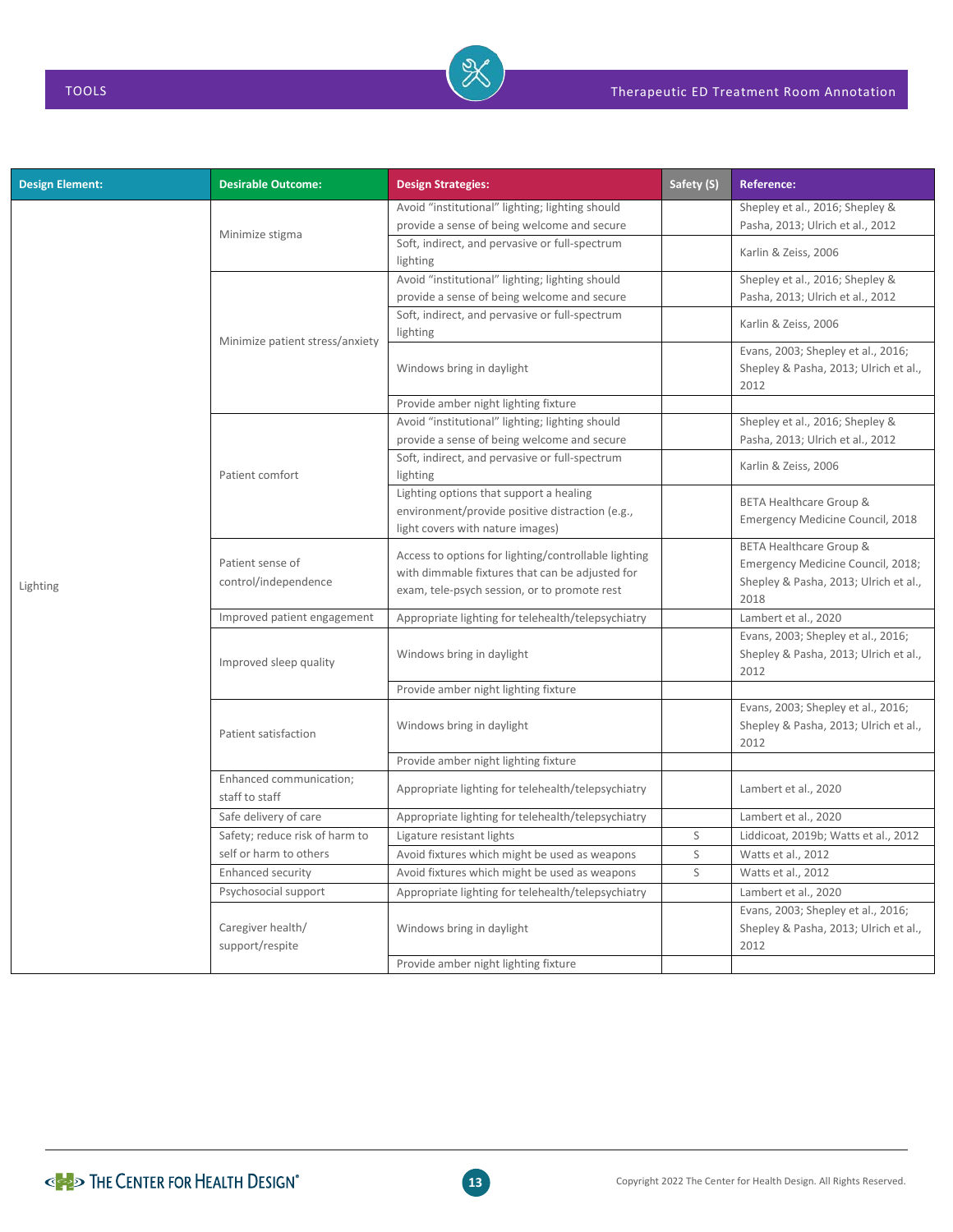| <b>Design Element:</b> | <b>Desirable Outcome:</b>                 | <b>Design Strategies:</b>                                                                                                                               | Safety (S) | <b>Reference:</b>                                                                                             |
|------------------------|-------------------------------------------|---------------------------------------------------------------------------------------------------------------------------------------------------------|------------|---------------------------------------------------------------------------------------------------------------|
|                        |                                           | Avoid "institutional" lighting; lighting should                                                                                                         |            | Shepley et al., 2016; Shepley &                                                                               |
|                        | Minimize stigma                           | provide a sense of being welcome and secure                                                                                                             |            | Pasha, 2013; Ulrich et al., 2012                                                                              |
|                        |                                           | Soft, indirect, and pervasive or full-spectrum<br>lighting                                                                                              |            | Karlin & Zeiss, 2006                                                                                          |
|                        |                                           | Avoid "institutional" lighting; lighting should                                                                                                         |            | Shepley et al., 2016; Shepley &                                                                               |
|                        | Minimize patient stress/anxiety           | provide a sense of being welcome and secure                                                                                                             |            | Pasha, 2013; Ulrich et al., 2012                                                                              |
|                        |                                           | Soft, indirect, and pervasive or full-spectrum<br>lighting                                                                                              |            | Karlin & Zeiss, 2006                                                                                          |
|                        |                                           | Windows bring in daylight                                                                                                                               |            | Evans, 2003; Shepley et al., 2016;<br>Shepley & Pasha, 2013; Ulrich et al.,<br>2012                           |
|                        |                                           | Provide amber night lighting fixture                                                                                                                    |            |                                                                                                               |
|                        |                                           | Avoid "institutional" lighting; lighting should                                                                                                         |            | Shepley et al., 2016; Shepley &                                                                               |
|                        |                                           | provide a sense of being welcome and secure                                                                                                             |            | Pasha, 2013; Ulrich et al., 2012                                                                              |
| Lighting               | Patient comfort                           | Soft, indirect, and pervasive or full-spectrum<br>lighting                                                                                              |            | Karlin & Zeiss, 2006                                                                                          |
|                        |                                           | Lighting options that support a healing<br>environment/provide positive distraction (e.g.,<br>light covers with nature images)                          |            | BETA Healthcare Group &<br>Emergency Medicine Council, 2018                                                   |
|                        | Patient sense of<br>control/independence  | Access to options for lighting/controllable lighting<br>with dimmable fixtures that can be adjusted for<br>exam, tele-psych session, or to promote rest |            | BETA Healthcare Group &<br>Emergency Medicine Council, 2018;<br>Shepley & Pasha, 2013; Ulrich et al.,<br>2018 |
|                        | Improved patient engagement               | Appropriate lighting for telehealth/telepsychiatry                                                                                                      |            | Lambert et al., 2020                                                                                          |
|                        | Improved sleep quality                    | Windows bring in daylight                                                                                                                               |            | Evans, 2003; Shepley et al., 2016;<br>Shepley & Pasha, 2013; Ulrich et al.,<br>2012                           |
|                        |                                           | Provide amber night lighting fixture                                                                                                                    |            |                                                                                                               |
|                        | Patient satisfaction                      | Windows bring in daylight                                                                                                                               |            | Evans, 2003; Shepley et al., 2016;<br>Shepley & Pasha, 2013; Ulrich et al.,<br>2012                           |
|                        |                                           | Provide amber night lighting fixture                                                                                                                    |            |                                                                                                               |
|                        | Enhanced communication;<br>staff to staff | Appropriate lighting for telehealth/telepsychiatry                                                                                                      |            | Lambert et al., 2020                                                                                          |
|                        | Safe delivery of care                     | Appropriate lighting for telehealth/telepsychiatry                                                                                                      |            | Lambert et al., 2020                                                                                          |
|                        | Safety; reduce risk of harm to            | Ligature resistant lights                                                                                                                               | S          | Liddicoat, 2019b; Watts et al., 2012                                                                          |
|                        | self or harm to others                    | Avoid fixtures which might be used as weapons                                                                                                           | S          | Watts et al., 2012                                                                                            |
|                        | Enhanced security                         | Avoid fixtures which might be used as weapons                                                                                                           | S          | Watts et al., 2012                                                                                            |
|                        | Psychosocial support                      | Appropriate lighting for telehealth/telepsychiatry                                                                                                      |            | Lambert et al., 2020                                                                                          |
|                        | Caregiver health/<br>support/respite      | Windows bring in daylight                                                                                                                               |            | Evans, 2003; Shepley et al., 2016;<br>Shepley & Pasha, 2013; Ulrich et al.,<br>2012                           |
|                        |                                           | Provide amber night lighting fixture                                                                                                                    |            |                                                                                                               |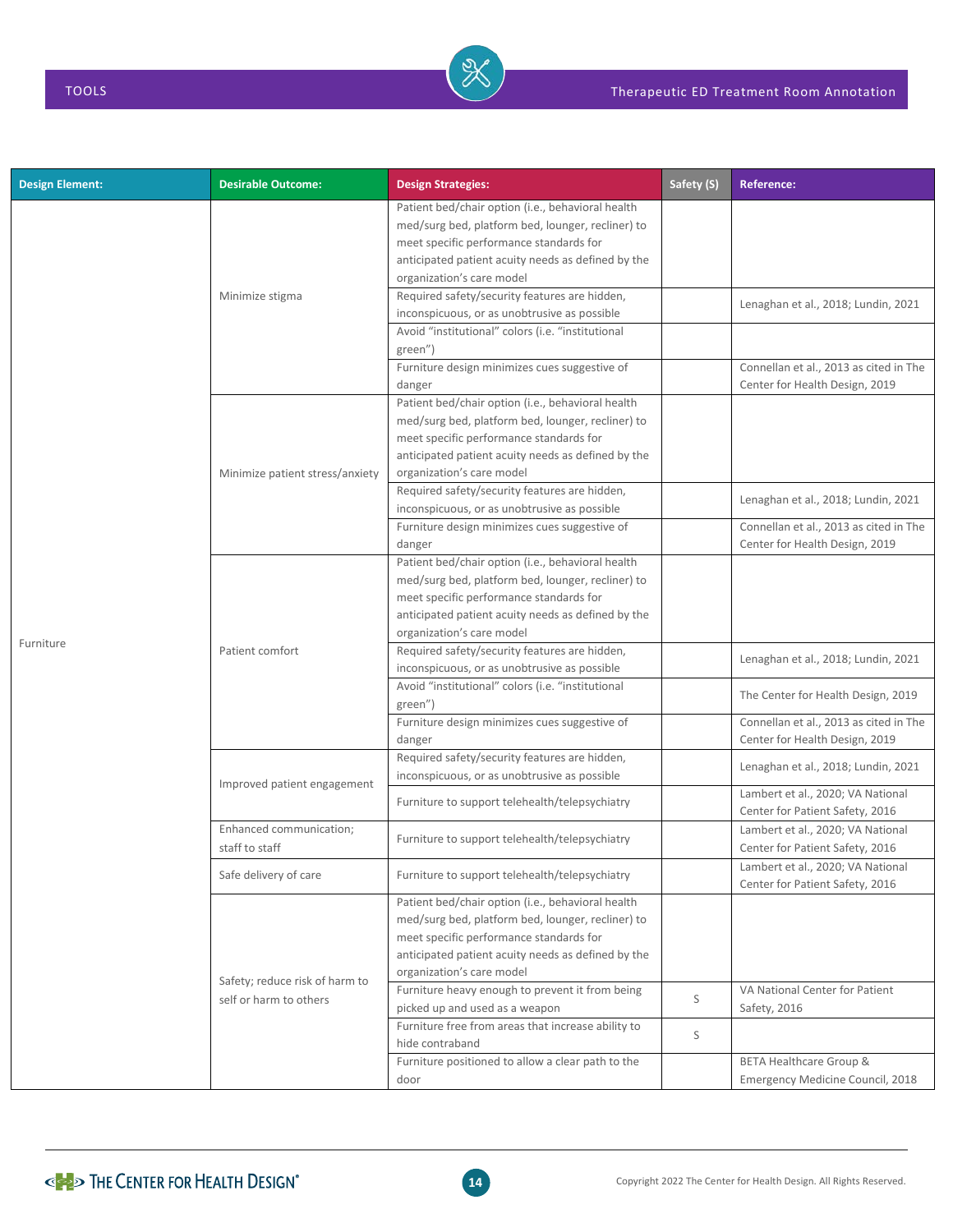| <b>Design Element:</b> | <b>Desirable Outcome:</b>                                | <b>Design Strategies:</b>                                                                                                                                                                                                            | Safety (S) | <b>Reference:</b>                                                        |
|------------------------|----------------------------------------------------------|--------------------------------------------------------------------------------------------------------------------------------------------------------------------------------------------------------------------------------------|------------|--------------------------------------------------------------------------|
|                        | Minimize stigma                                          | Patient bed/chair option (i.e., behavioral health<br>med/surg bed, platform bed, lounger, recliner) to<br>meet specific performance standards for<br>anticipated patient acuity needs as defined by the<br>organization's care model |            |                                                                          |
|                        |                                                          | Required safety/security features are hidden,<br>inconspicuous, or as unobtrusive as possible                                                                                                                                        |            | Lenaghan et al., 2018; Lundin, 2021                                      |
|                        |                                                          | Avoid "institutional" colors (i.e. "institutional<br>green")<br>Furniture design minimizes cues suggestive of                                                                                                                        |            | Connellan et al., 2013 as cited in The                                   |
|                        |                                                          | danger                                                                                                                                                                                                                               |            | Center for Health Design, 2019                                           |
|                        | Minimize patient stress/anxiety                          | Patient bed/chair option (i.e., behavioral health<br>med/surg bed, platform bed, lounger, recliner) to<br>meet specific performance standards for<br>anticipated patient acuity needs as defined by the<br>organization's care model |            |                                                                          |
|                        |                                                          | Required safety/security features are hidden,<br>inconspicuous, or as unobtrusive as possible                                                                                                                                        |            | Lenaghan et al., 2018; Lundin, 2021                                      |
|                        |                                                          | Furniture design minimizes cues suggestive of<br>danger                                                                                                                                                                              |            | Connellan et al., 2013 as cited in The<br>Center for Health Design, 2019 |
|                        | Patient comfort                                          | Patient bed/chair option (i.e., behavioral health<br>med/surg bed, platform bed, lounger, recliner) to<br>meet specific performance standards for<br>anticipated patient acuity needs as defined by the<br>organization's care model |            |                                                                          |
| Furniture              |                                                          | Required safety/security features are hidden,                                                                                                                                                                                        |            | Lenaghan et al., 2018; Lundin, 2021                                      |
|                        |                                                          | inconspicuous, or as unobtrusive as possible<br>Avoid "institutional" colors (i.e. "institutional                                                                                                                                    |            | The Center for Health Design, 2019                                       |
|                        |                                                          | green")<br>Furniture design minimizes cues suggestive of                                                                                                                                                                             |            | Connellan et al., 2013 as cited in The                                   |
|                        | Improved patient engagement                              | danger<br>Required safety/security features are hidden,<br>inconspicuous, or as unobtrusive as possible                                                                                                                              |            | Center for Health Design, 2019<br>Lenaghan et al., 2018; Lundin, 2021    |
|                        |                                                          | Furniture to support telehealth/telepsychiatry                                                                                                                                                                                       |            | Lambert et al., 2020; VA National<br>Center for Patient Safety, 2016     |
|                        | Enhanced communication;<br>staff to staff                | Furniture to support telehealth/telepsychiatry                                                                                                                                                                                       |            | Lambert et al., 2020; VA National<br>Center for Patient Safety, 2016     |
|                        | Safe delivery of care                                    | Furniture to support telehealth/telepsychiatry                                                                                                                                                                                       |            | Lambert et al., 2020; VA National<br>Center for Patient Safety, 2016     |
|                        | Safety; reduce risk of harm to<br>self or harm to others | Patient bed/chair option (i.e., behavioral health<br>med/surg bed, platform bed, lounger, recliner) to<br>meet specific performance standards for<br>anticipated patient acuity needs as defined by the<br>organization's care model |            |                                                                          |
|                        |                                                          | Furniture heavy enough to prevent it from being<br>picked up and used as a weapon                                                                                                                                                    | S          | VA National Center for Patient<br>Safety, 2016                           |
|                        |                                                          | Furniture free from areas that increase ability to<br>hide contraband                                                                                                                                                                | S          |                                                                          |
|                        |                                                          | Furniture positioned to allow a clear path to the<br>door                                                                                                                                                                            |            | <b>BETA Healthcare Group &amp;</b><br>Emergency Medicine Council, 2018   |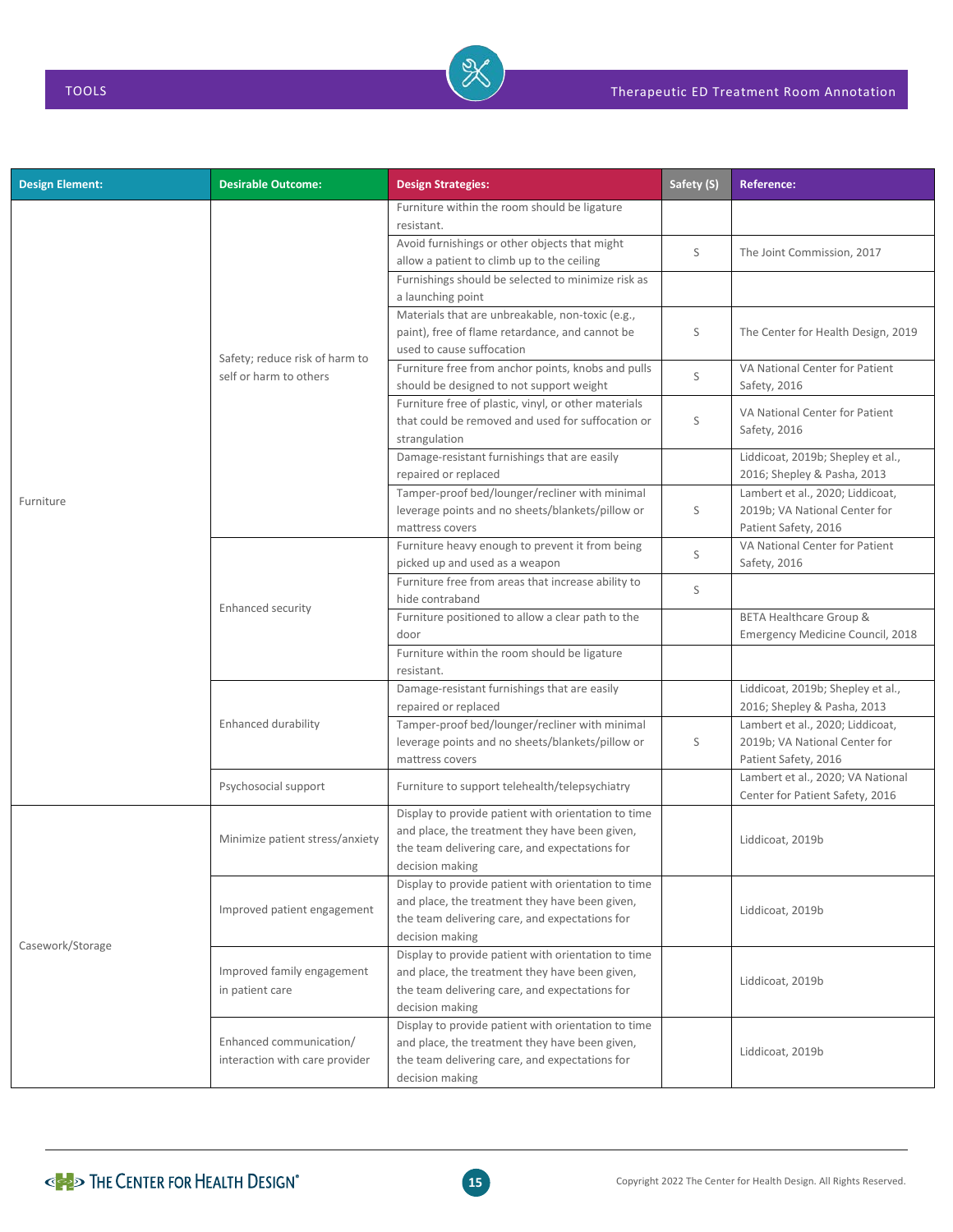| <b>Design Element:</b> | <b>Desirable Outcome:</b>                                 | <b>Design Strategies:</b>                                                                                                                                                  | Safety (S) | <b>Reference:</b>                                                                         |
|------------------------|-----------------------------------------------------------|----------------------------------------------------------------------------------------------------------------------------------------------------------------------------|------------|-------------------------------------------------------------------------------------------|
|                        | Safety; reduce risk of harm to<br>self or harm to others  | Furniture within the room should be ligature<br>resistant.                                                                                                                 |            |                                                                                           |
|                        |                                                           | Avoid furnishings or other objects that might<br>allow a patient to climb up to the ceiling                                                                                | S          | The Joint Commission, 2017                                                                |
|                        |                                                           | Furnishings should be selected to minimize risk as<br>a launching point                                                                                                    |            |                                                                                           |
|                        |                                                           | Materials that are unbreakable, non-toxic (e.g.,<br>paint), free of flame retardance, and cannot be<br>used to cause suffocation                                           | S          | The Center for Health Design, 2019                                                        |
|                        |                                                           | Furniture free from anchor points, knobs and pulls<br>should be designed to not support weight                                                                             | S          | VA National Center for Patient<br>Safety, 2016                                            |
|                        |                                                           | Furniture free of plastic, vinyl, or other materials<br>that could be removed and used for suffocation or<br>strangulation                                                 | S          | VA National Center for Patient<br>Safety, 2016                                            |
|                        |                                                           | Damage-resistant furnishings that are easily<br>repaired or replaced                                                                                                       |            | Liddicoat, 2019b; Shepley et al.,<br>2016; Shepley & Pasha, 2013                          |
| Furniture              |                                                           | Tamper-proof bed/lounger/recliner with minimal<br>leverage points and no sheets/blankets/pillow or<br>mattress covers                                                      | S          | Lambert et al., 2020; Liddicoat,<br>2019b; VA National Center for<br>Patient Safety, 2016 |
|                        |                                                           | Furniture heavy enough to prevent it from being<br>picked up and used as a weapon                                                                                          | S          | VA National Center for Patient<br>Safety, 2016                                            |
|                        | <b>Enhanced security</b>                                  | Furniture free from areas that increase ability to<br>hide contraband                                                                                                      | S          |                                                                                           |
|                        |                                                           | Furniture positioned to allow a clear path to the<br>door                                                                                                                  |            | <b>BETA Healthcare Group &amp;</b><br>Emergency Medicine Council, 2018                    |
|                        |                                                           | Furniture within the room should be ligature<br>resistant.                                                                                                                 |            |                                                                                           |
|                        | Enhanced durability                                       | Damage-resistant furnishings that are easily<br>repaired or replaced                                                                                                       |            | Liddicoat, 2019b; Shepley et al.,<br>2016; Shepley & Pasha, 2013                          |
|                        |                                                           | Tamper-proof bed/lounger/recliner with minimal<br>leverage points and no sheets/blankets/pillow or<br>mattress covers                                                      | S          | Lambert et al., 2020; Liddicoat,<br>2019b; VA National Center for<br>Patient Safety, 2016 |
|                        | Psychosocial support                                      | Furniture to support telehealth/telepsychiatry                                                                                                                             |            | Lambert et al., 2020; VA National<br>Center for Patient Safety, 2016                      |
| Casework/Storage       | Minimize patient stress/anxiety                           | Display to provide patient with orientation to time<br>and place, the treatment they have been given,<br>the team delivering care, and expectations for<br>decision making |            | Liddicoat, 2019b                                                                          |
|                        | Improved patient engagement                               | Display to provide patient with orientation to time<br>and place, the treatment they have been given,<br>the team delivering care, and expectations for<br>decision making |            | Liddicoat, 2019b                                                                          |
|                        | Improved family engagement<br>in patient care             | Display to provide patient with orientation to time<br>and place, the treatment they have been given,<br>the team delivering care, and expectations for<br>decision making |            | Liddicoat, 2019b                                                                          |
|                        | Enhanced communication/<br>interaction with care provider | Display to provide patient with orientation to time<br>and place, the treatment they have been given,<br>the team delivering care, and expectations for<br>decision making |            | Liddicoat, 2019b                                                                          |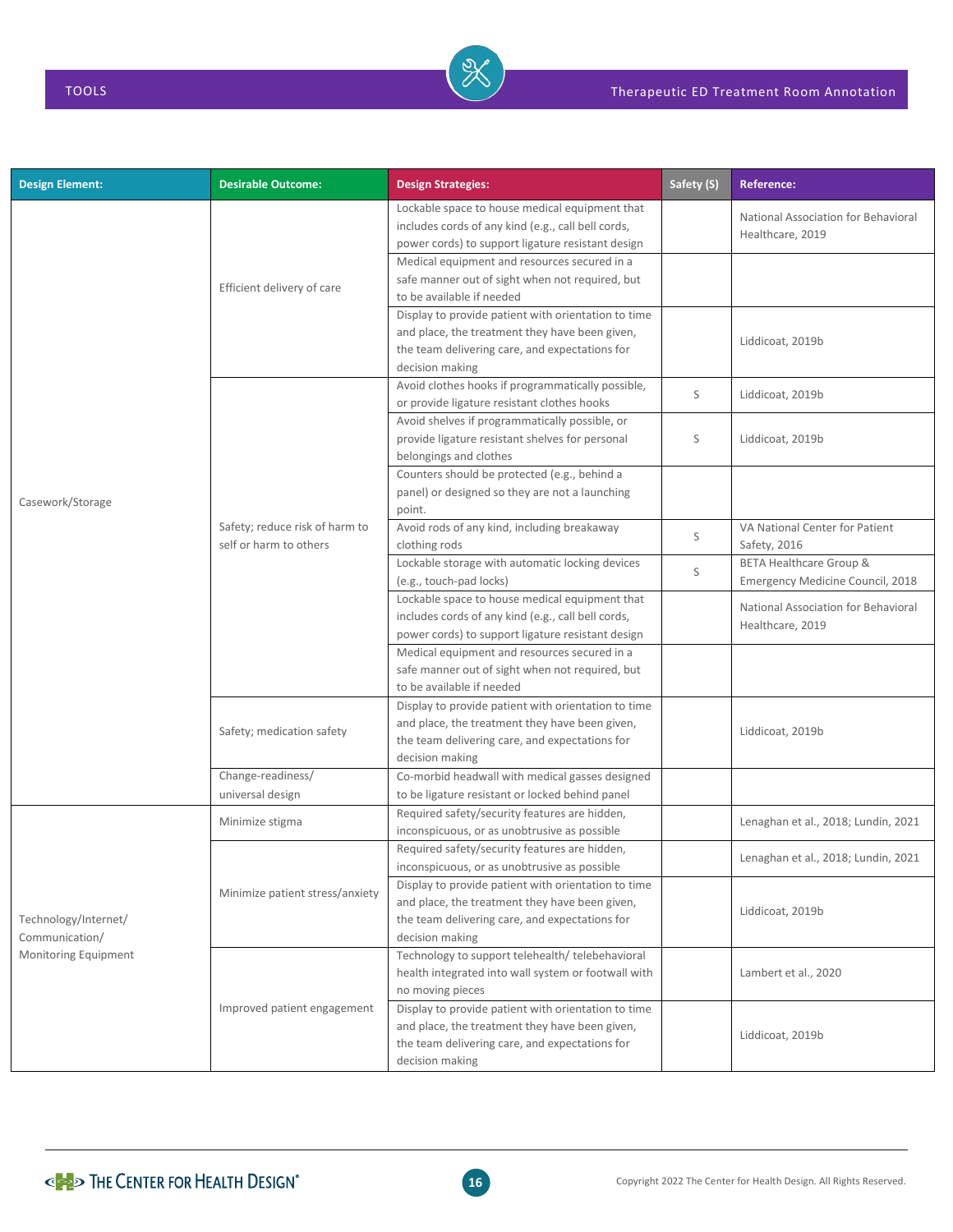| <b>Design Element:</b>                                         | <b>Desirable Outcome:</b>                                | <b>Design Strategies:</b>                                                                                                                                                  | Safety (S) | <b>Reference:</b>                                                      |
|----------------------------------------------------------------|----------------------------------------------------------|----------------------------------------------------------------------------------------------------------------------------------------------------------------------------|------------|------------------------------------------------------------------------|
|                                                                | Efficient delivery of care                               | Lockable space to house medical equipment that<br>includes cords of any kind (e.g., call bell cords,<br>power cords) to support ligature resistant design                  |            | National Association for Behavioral<br>Healthcare, 2019                |
|                                                                |                                                          | Medical equipment and resources secured in a<br>safe manner out of sight when not required, but<br>to be available if needed                                               |            |                                                                        |
|                                                                |                                                          | Display to provide patient with orientation to time<br>and place, the treatment they have been given,<br>the team delivering care, and expectations for<br>decision making |            | Liddicoat, 2019b                                                       |
|                                                                | Safety; reduce risk of harm to<br>self or harm to others | Avoid clothes hooks if programmatically possible,<br>or provide ligature resistant clothes hooks                                                                           | S          | Liddicoat, 2019b                                                       |
| Casework/Storage                                               |                                                          | Avoid shelves if programmatically possible, or<br>provide ligature resistant shelves for personal<br>belongings and clothes                                                | S          | Liddicoat, 2019b                                                       |
|                                                                |                                                          | Counters should be protected (e.g., behind a<br>panel) or designed so they are not a launching<br>point.                                                                   |            |                                                                        |
|                                                                |                                                          | Avoid rods of any kind, including breakaway<br>clothing rods                                                                                                               | S          | VA National Center for Patient<br>Safety, 2016                         |
|                                                                |                                                          | Lockable storage with automatic locking devices<br>(e.g., touch-pad locks)                                                                                                 | S          | <b>BETA Healthcare Group &amp;</b><br>Emergency Medicine Council, 2018 |
|                                                                |                                                          | Lockable space to house medical equipment that<br>includes cords of any kind (e.g., call bell cords,<br>power cords) to support ligature resistant design                  |            | National Association for Behavioral<br>Healthcare, 2019                |
|                                                                |                                                          | Medical equipment and resources secured in a<br>safe manner out of sight when not required, but<br>to be available if needed                                               |            |                                                                        |
|                                                                | Safety; medication safety                                | Display to provide patient with orientation to time<br>and place, the treatment they have been given,<br>the team delivering care, and expectations for<br>decision making |            | Liddicoat, 2019b                                                       |
|                                                                | Change-readiness/<br>universal design                    | Co-morbid headwall with medical gasses designed<br>to be ligature resistant or locked behind panel                                                                         |            |                                                                        |
|                                                                | Minimize stigma                                          | Required safety/security features are hidden,<br>inconspicuous, or as unobtrusive as possible                                                                              |            | Lenaghan et al., 2018; Lundin, 2021                                    |
| Technology/Internet/<br>Communication/<br>Monitoring Equipment | Minimize patient stress/anxiety                          | Required safety/security features are hidden,<br>inconspicuous, or as unobtrusive as possible                                                                              |            | Lenaghan et al., 2018; Lundin, 2021                                    |
|                                                                |                                                          | Display to provide patient with orientation to time<br>and place, the treatment they have been given,<br>the team delivering care, and expectations for<br>decision making |            | Liddicoat, 2019b                                                       |
|                                                                | Improved patient engagement                              | Technology to support telehealth/ telebehavioral<br>health integrated into wall system or footwall with<br>no moving pieces                                                |            | Lambert et al., 2020                                                   |
|                                                                |                                                          | Display to provide patient with orientation to time<br>and place, the treatment they have been given,<br>the team delivering care, and expectations for<br>decision making |            | Liddicoat, 2019b                                                       |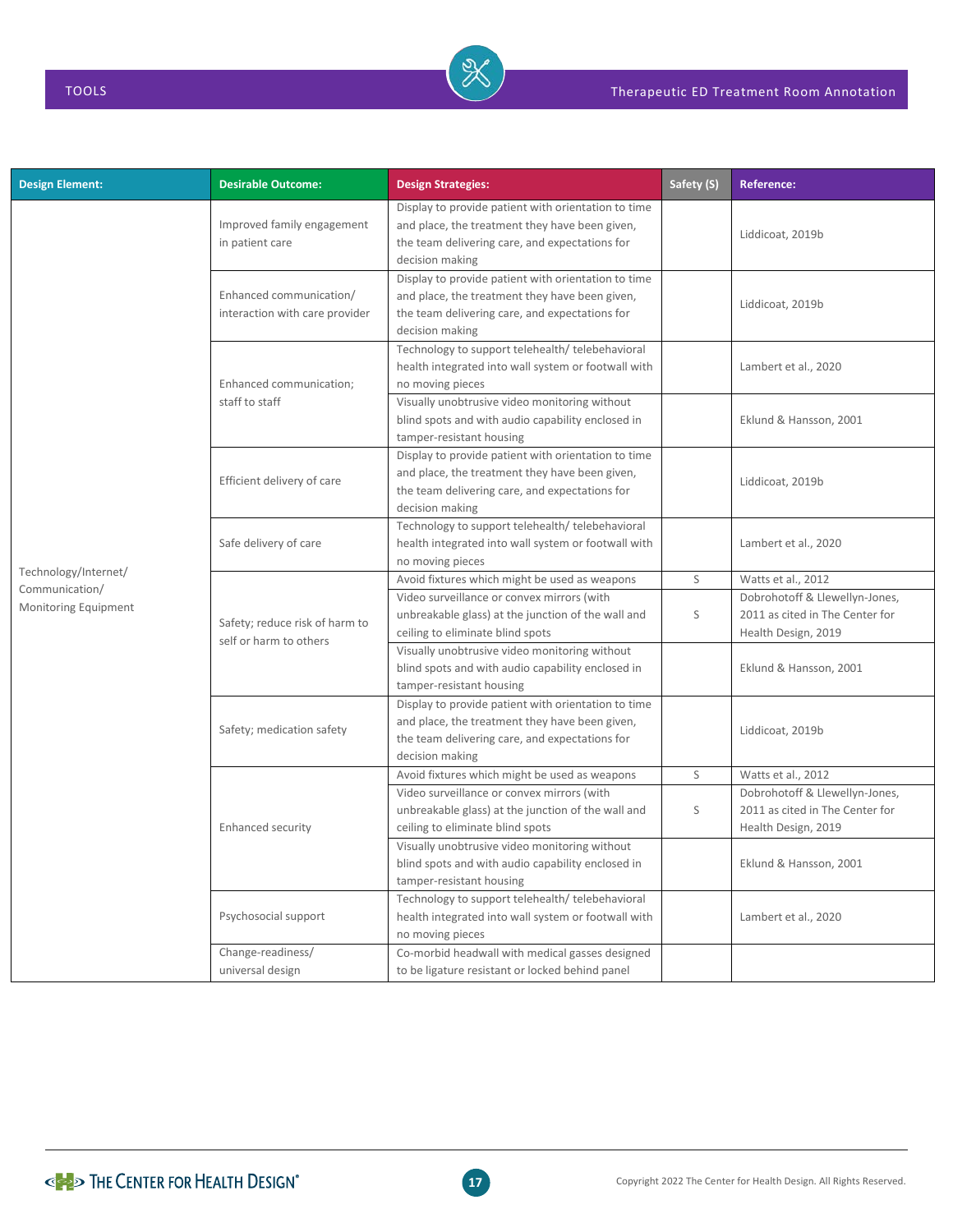| <b>Design Element:</b>                 | <b>Desirable Outcome:</b>                                 | <b>Design Strategies:</b>                                                                                                                                                  | Safety (S) | <b>Reference:</b>                                                                        |
|----------------------------------------|-----------------------------------------------------------|----------------------------------------------------------------------------------------------------------------------------------------------------------------------------|------------|------------------------------------------------------------------------------------------|
|                                        | Improved family engagement<br>in patient care             | Display to provide patient with orientation to time<br>and place, the treatment they have been given,<br>the team delivering care, and expectations for<br>decision making |            | Liddicoat, 2019b                                                                         |
|                                        | Enhanced communication/<br>interaction with care provider | Display to provide patient with orientation to time<br>and place, the treatment they have been given,<br>the team delivering care, and expectations for<br>decision making |            | Liddicoat, 2019b                                                                         |
|                                        | Enhanced communication;<br>staff to staff                 | Technology to support telehealth/ telebehavioral<br>health integrated into wall system or footwall with<br>no moving pieces                                                |            | Lambert et al., 2020                                                                     |
|                                        |                                                           | Visually unobtrusive video monitoring without<br>blind spots and with audio capability enclosed in<br>tamper-resistant housing                                             |            | Eklund & Hansson, 2001                                                                   |
|                                        | Efficient delivery of care                                | Display to provide patient with orientation to time<br>and place, the treatment they have been given,<br>the team delivering care, and expectations for<br>decision making |            | Liddicoat, 2019b                                                                         |
|                                        | Safe delivery of care                                     | Technology to support telehealth/ telebehavioral<br>health integrated into wall system or footwall with<br>no moving pieces                                                |            | Lambert et al., 2020                                                                     |
| Technology/Internet/                   | Safety; reduce risk of harm to<br>self or harm to others  | Avoid fixtures which might be used as weapons                                                                                                                              | S          | Watts et al., 2012                                                                       |
| Communication/<br>Monitoring Equipment |                                                           | Video surveillance or convex mirrors (with<br>unbreakable glass) at the junction of the wall and<br>ceiling to eliminate blind spots                                       | S          | Dobrohotoff & Llewellyn-Jones,<br>2011 as cited in The Center for<br>Health Design, 2019 |
|                                        |                                                           | Visually unobtrusive video monitoring without<br>blind spots and with audio capability enclosed in<br>tamper-resistant housing                                             |            | Eklund & Hansson, 2001                                                                   |
|                                        | Safety; medication safety                                 | Display to provide patient with orientation to time<br>and place, the treatment they have been given,<br>the team delivering care, and expectations for<br>decision making |            | Liddicoat, 2019b                                                                         |
|                                        |                                                           | Avoid fixtures which might be used as weapons                                                                                                                              | S          | Watts et al., 2012                                                                       |
|                                        | Enhanced security                                         | Video surveillance or convex mirrors (with<br>unbreakable glass) at the junction of the wall and<br>ceiling to eliminate blind spots                                       | S          | Dobrohotoff & Llewellyn-Jones,<br>2011 as cited in The Center for<br>Health Design, 2019 |
|                                        |                                                           | Visually unobtrusive video monitoring without<br>blind spots and with audio capability enclosed in<br>tamper-resistant housing                                             |            | Eklund & Hansson, 2001                                                                   |
|                                        | Psychosocial support                                      | Technology to support telehealth/ telebehavioral<br>health integrated into wall system or footwall with<br>no moving pieces                                                |            | Lambert et al., 2020                                                                     |
|                                        | Change-readiness/<br>universal design                     | Co-morbid headwall with medical gasses designed<br>to be ligature resistant or locked behind panel                                                                         |            |                                                                                          |

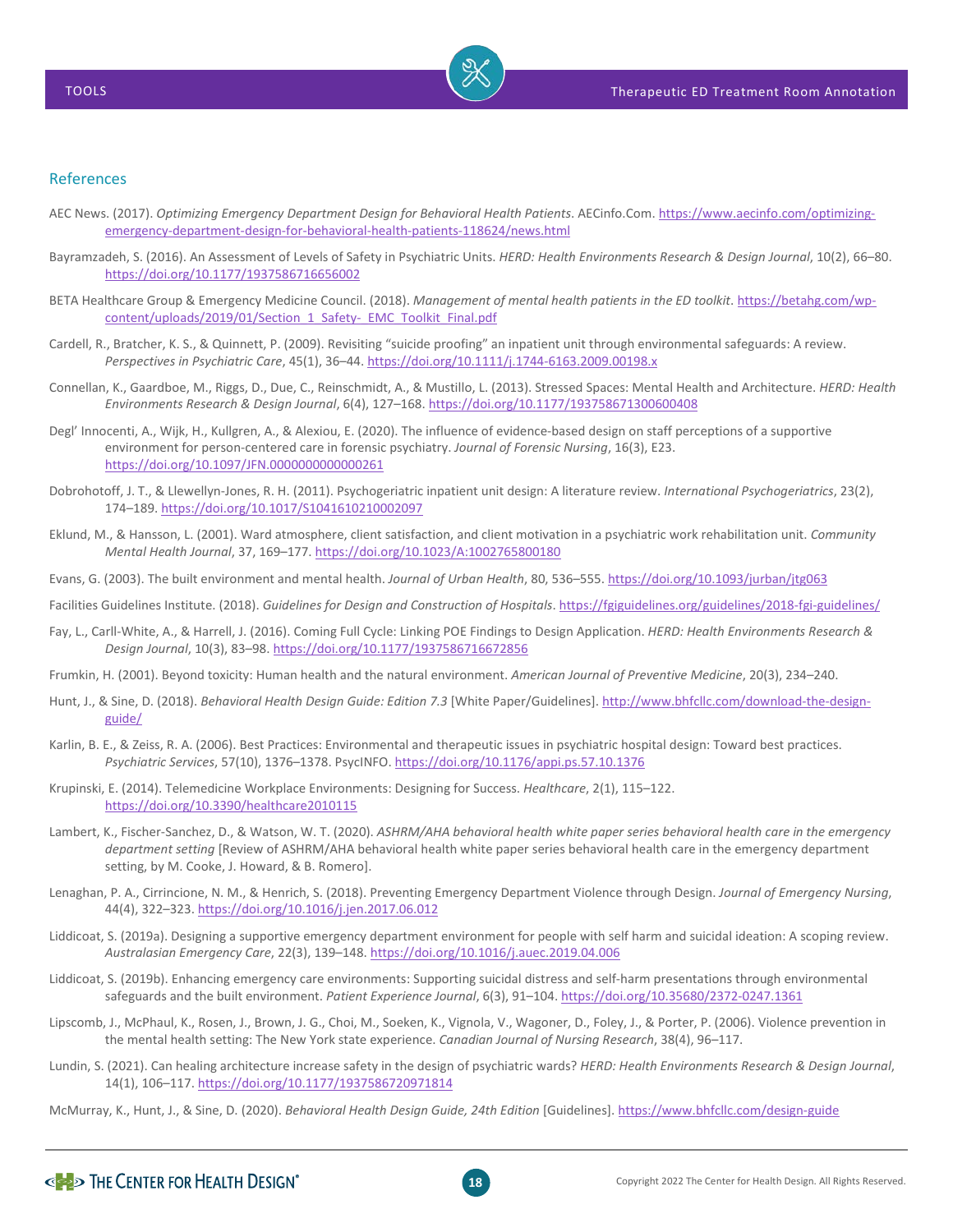

## References

- AEC News. (2017). *Optimizing Emergency Department Design for Behavioral Health Patients*. AECinfo.Com[. https://www.aecinfo.com/optimizing](https://www.aecinfo.com/optimizing-emergency-department-design-for-behavioral-health-patients-118624/news.html)[emergency-department-design-for-behavioral-health-patients-118624/news.html](https://www.aecinfo.com/optimizing-emergency-department-design-for-behavioral-health-patients-118624/news.html)
- Bayramzadeh, S. (2016). An Assessment of Levels of Safety in Psychiatric Units. *HERD: Health Environments Research & Design Journal*, 10(2), 66–80. <https://doi.org/10.1177/1937586716656002>
- BETA Healthcare Group & Emergency Medicine Council. (2018). *Management of mental health patients in the ED toolkit*. [https://betahg.com/wp](https://betahg.com/wp-content/uploads/2019/01/Section_1_Safety-_EMC_Toolkit_Final.pdf)[content/uploads/2019/01/Section\\_1\\_Safety-\\_EMC\\_Toolkit\\_Final.pdf](https://betahg.com/wp-content/uploads/2019/01/Section_1_Safety-_EMC_Toolkit_Final.pdf)
- Cardell, R., Bratcher, K. S., & Quinnett, P. (2009). Revisiting "suicide proofing" an inpatient unit through environmental safeguards: A review. *Perspectives in Psychiatric Care*, 45(1), 36–44[. https://doi.org/10.1111/j.1744-6163.2009.00198.x](https://doi.org/10.1111/j.1744-6163.2009.00198.x)
- Connellan, K., Gaardboe, M., Riggs, D., Due, C., Reinschmidt, A., & Mustillo, L. (2013). Stressed Spaces: Mental Health and Architecture. *HERD: Health Environments Research & Design Journal*, 6(4), 127–168[. https://doi.org/10.1177/193758671300600408](https://doi.org/10.1177/193758671300600408)
- Degl' Innocenti, A., Wijk, H., Kullgren, A., & Alexiou, E. (2020). The influence of evidence-based design on staff perceptions of a supportive environment for person-centered care in forensic psychiatry. *Journal of Forensic Nursing*, 16(3), E23. <https://doi.org/10.1097/JFN.0000000000000261>
- Dobrohotoff, J. T., & Llewellyn-Jones, R. H. (2011). Psychogeriatric inpatient unit design: A literature review. *International Psychogeriatrics*, 23(2), 174–189[. https://doi.org/10.1017/S1041610210002097](https://doi.org/10.1017/S1041610210002097)
- Eklund, M., & Hansson, L. (2001). Ward atmosphere, client satisfaction, and client motivation in a psychiatric work rehabilitation unit. *Community Mental Health Journal*, 37, 169–177[. https://doi.org/10.1023/A:1002765800180](https://doi.org/10.1023/A:1002765800180)
- Evans, G. (2003). The built environment and mental health. *Journal of Urban Health*, 80, 536–555[. https://doi.org/10.1093/jurban/jtg063](https://doi.org/10.1093/jurban/jtg063)
- Facilities Guidelines Institute. (2018). *Guidelines for Design and Construction of Hospitals*[. https://fgiguidelines.org/guidelines/2018-fgi-guidelines/](https://fgiguidelines.org/guidelines/2018-fgi-guidelines/)
- Fay, L., Carll-White, A., & Harrell, J. (2016). Coming Full Cycle: Linking POE Findings to Design Application. *HERD: Health Environments Research & Design Journal*, 10(3), 83–98[. https://doi.org/10.1177/1937586716672856](https://doi.org/10.1177/1937586716672856)
- Frumkin, H. (2001). Beyond toxicity: Human health and the natural environment. *American Journal of Preventive Medicine*, 20(3), 234–240.
- Hunt, J., & Sine, D. (2018). *Behavioral Health Design Guide: Edition 7.3* [White Paper/Guidelines]. [http://www.bhfcllc.com/download-the-design](http://www.bhfcllc.com/download-the-design-guide/)[guide/](http://www.bhfcllc.com/download-the-design-guide/)
- Karlin, B. E., & Zeiss, R. A. (2006). Best Practices: Environmental and therapeutic issues in psychiatric hospital design: Toward best practices. *Psychiatric Services*, 57(10), 1376–1378. PsycINFO.<https://doi.org/10.1176/appi.ps.57.10.1376>
- Krupinski, E. (2014). Telemedicine Workplace Environments: Designing for Success. *Healthcare*, 2(1), 115–122. <https://doi.org/10.3390/healthcare2010115>
- Lambert, K., Fischer-Sanchez, D., & Watson, W. T. (2020). *ASHRM/AHA behavioral health white paper series behavioral health care in the emergency department setting* [Review of ASHRM/AHA behavioral health white paper series behavioral health care in the emergency department setting, by M. Cooke, J. Howard, & B. Romero].
- Lenaghan, P. A., Cirrincione, N. M., & Henrich, S. (2018). Preventing Emergency Department Violence through Design. *Journal of Emergency Nursing*, 44(4), 322–323[. https://doi.org/10.1016/j.jen.2017.06.012](https://doi.org/10.1016/j.jen.2017.06.012)
- Liddicoat, S. (2019a). Designing a supportive emergency department environment for people with self harm and suicidal ideation: A scoping review. *Australasian Emergency Care*, 22(3), 139–148[. https://doi.org/10.1016/j.auec.2019.04.006](https://doi.org/10.1016/j.auec.2019.04.006)
- Liddicoat, S. (2019b). Enhancing emergency care environments: Supporting suicidal distress and self-harm presentations through environmental safeguards and the built environment. *Patient Experience Journal*, 6(3), 91–104[. https://doi.org/10.35680/2372-0247.1361](https://doi.org/10.35680/2372-0247.1361)
- Lipscomb, J., McPhaul, K., Rosen, J., Brown, J. G., Choi, M., Soeken, K., Vignola, V., Wagoner, D., Foley, J., & Porter, P. (2006). Violence prevention in the mental health setting: The New York state experience. *Canadian Journal of Nursing Research*, 38(4), 96–117.
- Lundin, S. (2021). Can healing architecture increase safety in the design of psychiatric wards? *HERD: Health Environments Research & Design Journal*, 14(1), 106–117[. https://doi.org/10.1177/1937586720971814](https://doi.org/10.1177/1937586720971814)
- McMurray, K., Hunt, J., & Sine, D. (2020). *Behavioral Health Design Guide, 24th Edition* [Guidelines][. https://www.bhfcllc.com/design-guide](https://www.bhfcllc.com/design-guide)